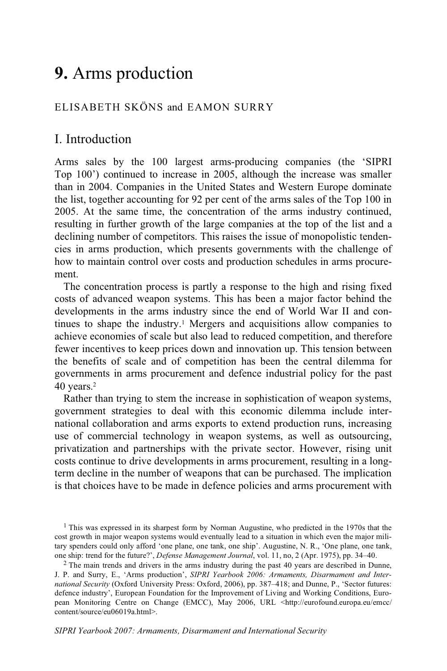# **9.** Arms production

# ELISABETH SKÖNS and EAMON SURRY

# I. Introduction

Arms sales by the 100 largest arms-producing companies (the 'SIPRI Top 100') continued to increase in 2005, although the increase was smaller than in 2004. Companies in the United States and Western Europe dominate the list, together accounting for 92 per cent of the arms sales of the Top 100 in 2005. At the same time, the concentration of the arms industry continued, resulting in further growth of the large companies at the top of the list and a declining number of competitors. This raises the issue of monopolistic tendencies in arms production, which presents governments with the challenge of how to maintain control over costs and production schedules in arms procurement.

The concentration process is partly a response to the high and rising fixed costs of advanced weapon systems. This has been a major factor behind the developments in the arms industry since the end of World War II and continues to shape the industry.<sup>1</sup> Mergers and acquisitions allow companies to achieve economies of scale but also lead to reduced competition, and therefore fewer incentives to keep prices down and innovation up. This tension between the benefits of scale and of competition has been the central dilemma for governments in arms procurement and defence industrial policy for the past 40 years.2

Rather than trying to stem the increase in sophistication of weapon systems, government strategies to deal with this economic dilemma include international collaboration and arms exports to extend production runs, increasing use of commercial technology in weapon systems, as well as outsourcing, privatization and partnerships with the private sector. However, rising unit costs continue to drive developments in arms procurement, resulting in a longterm decline in the number of weapons that can be purchased. The implication is that choices have to be made in defence policies and arms procurement with

<sup>&</sup>lt;sup>1</sup> This was expressed in its sharpest form by Norman Augustine, who predicted in the 1970s that the cost growth in major weapon systems would eventually lead to a situation in which even the major military spenders could only afford 'one plane, one tank, one ship'. Augustine, N. R., 'One plane, one tank, one ship: trend for the future?', *Defense Management Journal*, vol. 11, no, 2 (Apr. 1975), pp. 34–40.

<sup>&</sup>lt;sup>2</sup> The main trends and drivers in the arms industry during the past 40 years are described in Dunne, J. P. and Surry, E., 'Arms production', *SIPRI Yearbook 2006: Armaments, Disarmament and International Security* (Oxford University Press: Oxford, 2006), pp. 387–418; and Dunne, P., 'Sector futures: defence industry', European Foundation for the Improvement of Living and Working Conditions, European Monitoring Centre on Change (EMCC), May 2006, URL <http://eurofound.europa.eu/emcc/ content/source/eu06019a.html>.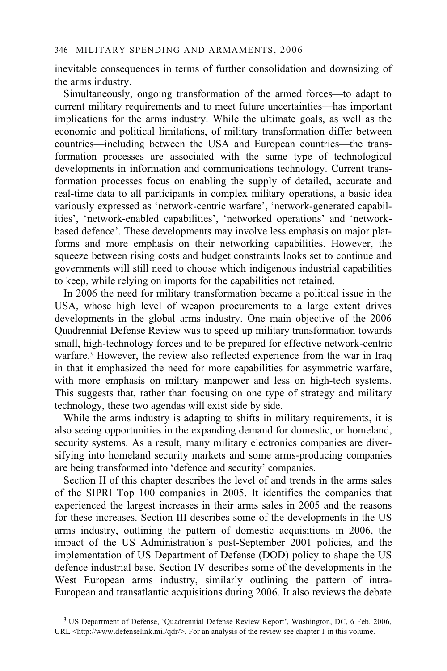inevitable consequences in terms of further consolidation and downsizing of the arms industry.

Simultaneously, ongoing transformation of the armed forces—to adapt to current military requirements and to meet future uncertainties—has important implications for the arms industry. While the ultimate goals, as well as the economic and political limitations, of military transformation differ between countries—including between the USA and European countries—the transformation processes are associated with the same type of technological developments in information and communications technology. Current transformation processes focus on enabling the supply of detailed, accurate and real-time data to all participants in complex military operations, a basic idea variously expressed as 'network-centric warfare', 'network-generated capabilities', 'network-enabled capabilities', 'networked operations' and 'networkbased defence'. These developments may involve less emphasis on major platforms and more emphasis on their networking capabilities. However, the squeeze between rising costs and budget constraints looks set to continue and governments will still need to choose which indigenous industrial capabilities to keep, while relying on imports for the capabilities not retained.

In 2006 the need for military transformation became a political issue in the USA, whose high level of weapon procurements to a large extent drives developments in the global arms industry. One main objective of the 2006 Quadrennial Defense Review was to speed up military transformation towards small, high-technology forces and to be prepared for effective network-centric warfare.3 However, the review also reflected experience from the war in Iraq in that it emphasized the need for more capabilities for asymmetric warfare, with more emphasis on military manpower and less on high-tech systems. This suggests that, rather than focusing on one type of strategy and military technology, these two agendas will exist side by side.

While the arms industry is adapting to shifts in military requirements, it is also seeing opportunities in the expanding demand for domestic, or homeland, security systems. As a result, many military electronics companies are diversifying into homeland security markets and some arms-producing companies are being transformed into 'defence and security' companies.

Section II of this chapter describes the level of and trends in the arms sales of the SIPRI Top 100 companies in 2005. It identifies the companies that experienced the largest increases in their arms sales in 2005 and the reasons for these increases. Section III describes some of the developments in the US arms industry, outlining the pattern of domestic acquisitions in 2006, the impact of the US Administration's post-September 2001 policies, and the implementation of US Department of Defense (DOD) policy to shape the US defence industrial base. Section IV describes some of the developments in the West European arms industry, similarly outlining the pattern of intra-European and transatlantic acquisitions during 2006. It also reviews the debate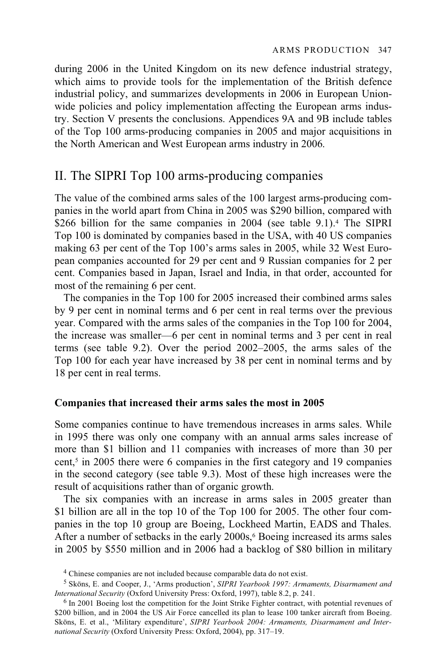during 2006 in the United Kingdom on its new defence industrial strategy, which aims to provide tools for the implementation of the British defence industrial policy, and summarizes developments in 2006 in European Unionwide policies and policy implementation affecting the European arms industry. Section V presents the conclusions. Appendices 9A and 9B include tables of the Top 100 arms-producing companies in 2005 and major acquisitions in the North American and West European arms industry in 2006.

# II. The SIPRI Top 100 arms-producing companies

The value of the combined arms sales of the 100 largest arms-producing companies in the world apart from China in 2005 was \$290 billion, compared with \$266 billion for the same companies in 2004 (see table 9.1).<sup>4</sup> The SIPRI Top 100 is dominated by companies based in the USA, with 40 US companies making 63 per cent of the Top 100's arms sales in 2005, while 32 West European companies accounted for 29 per cent and 9 Russian companies for 2 per cent. Companies based in Japan, Israel and India, in that order, accounted for most of the remaining 6 per cent.

The companies in the Top 100 for 2005 increased their combined arms sales by 9 per cent in nominal terms and 6 per cent in real terms over the previous year. Compared with the arms sales of the companies in the Top 100 for 2004, the increase was smaller—6 per cent in nominal terms and 3 per cent in real terms (see table 9.2). Over the period 2002–2005, the arms sales of the Top 100 for each year have increased by 38 per cent in nominal terms and by 18 per cent in real terms.

#### **Companies that increased their arms sales the most in 2005**

Some companies continue to have tremendous increases in arms sales. While in 1995 there was only one company with an annual arms sales increase of more than \$1 billion and 11 companies with increases of more than 30 per cent,<sup>5</sup> in 2005 there were 6 companies in the first category and 19 companies in the second category (see table 9.3). Most of these high increases were the result of acquisitions rather than of organic growth.

The six companies with an increase in arms sales in 2005 greater than \$1 billion are all in the top 10 of the Top 100 for 2005. The other four companies in the top 10 group are Boeing, Lockheed Martin, EADS and Thales. After a number of setbacks in the early  $2000s<sub>s</sub>$ <sup>6</sup> Boeing increased its arms sales in 2005 by \$550 million and in 2006 had a backlog of \$80 billion in military

<sup>&</sup>lt;sup>4</sup> Chinese companies are not included because comparable data do not exist.

<sup>5</sup> Sköns, E. and Cooper, J., 'Arms production', *SIPRI Yearbook 1997: Armaments, Disarmament and International Security* (Oxford University Press: Oxford, 1997), table 8.2, p. 241.<br><sup>6</sup> In 2001 Boeing lost the competition for the Joint Strike Fighter contract, with potential revenues of

<sup>\$200</sup> billion, and in 2004 the US Air Force cancelled its plan to lease 100 tanker aircraft from Boeing. Sköns, E. et al., 'Military expenditure', *SIPRI Yearbook 2004: Armaments, Disarmament and International Security* (Oxford University Press: Oxford, 2004), pp. 317–19.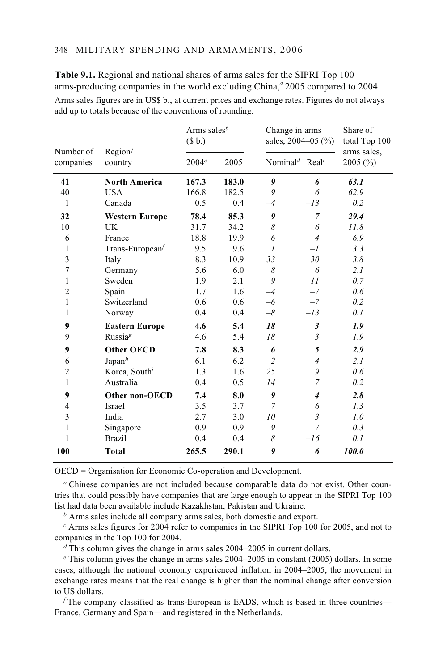|                        | Region/<br>country        | Arms sales <sup>b</sup><br>(\$b.) |       | Change in arms<br>sales, $2004 - 05$ (%) |                | Share of<br>total Top 100 |  |
|------------------------|---------------------------|-----------------------------------|-------|------------------------------------------|----------------|---------------------------|--|
| Number of<br>companies |                           | 2004c                             | 2005  | Nominal <sup>d</sup> Real <sup>e</sup>   |                | arms sales,<br>2005(%)    |  |
| 41                     | <b>North America</b>      | 167.3                             | 183.0 | 9                                        | 6              | 63.1                      |  |
| 40                     | <b>USA</b>                | 166.8                             | 182.5 | 9                                        | 6              | 62.9                      |  |
| 1                      | Canada                    | 0.5                               | 0.4   | $-4$                                     | $-l3$          | 0.2                       |  |
| 32                     | <b>Western Europe</b>     | 78.4                              | 85.3  | 9                                        | $\overline{7}$ | 29.4                      |  |
| 10                     | <b>UK</b>                 | 31.7                              | 34.2  | 8                                        | 6              | 11.8                      |  |
| 6                      | France                    | 18.8                              | 19.9  | 6                                        | $\overline{4}$ | 6.9                       |  |
| 1                      | Trans-European            | 9.5                               | 9.6   | $\mathcal{I}$                            | $-l$           | 3.3                       |  |
| 3                      | Italy                     | 8.3                               | 10.9  | 33                                       | 30             | 3.8                       |  |
| 7                      | Germany                   | 5.6                               | 6.0   | 8                                        | 6              | 2.1                       |  |
| 1                      | Sweden                    | 1.9                               | 2.1   | 9                                        | 11             | 0.7                       |  |
| $\overline{2}$         | Spain                     | 1.7                               | 1.6   | $-4$                                     | $-7$           | 0.6                       |  |
| 1                      | Switzerland               | 0.6                               | 0.6   | $-6$                                     | $-7$           | 0.2                       |  |
| 1                      | Norway                    | 0.4                               | 0.4   | $-\delta$                                | $-l3$          | 0.1                       |  |
| 9                      | <b>Eastern Europe</b>     | 4.6                               | 5.4   | 18                                       | $\mathfrak{z}$ | 1.9                       |  |
| 9                      | Russia <sup>g</sup>       | 4.6                               | 5.4   | 18                                       | $\mathfrak{Z}$ | 1.9                       |  |
| 9                      | <b>Other OECD</b>         | 7.8                               | 8.3   | 6                                        | 5              | 2.9                       |  |
| 6                      | Japan <sup>h</sup>        | 6.1                               | 6.2   | $\overline{c}$                           | $\overline{4}$ | 2.1                       |  |
| 2                      | Korea, South <sup>i</sup> | 1.3                               | 1.6   | 25                                       | 9              | 0.6                       |  |
| 1                      | Australia                 | 0.4                               | 0.5   | 14                                       | $\overline{7}$ | 0.2                       |  |
| 9                      | Other non-OECD            | 7.4                               | 8.0   | 9                                        | $\overline{4}$ | 2.8                       |  |
| 4                      | <b>Israel</b>             | 3.5                               | 3.7   | $\overline{7}$                           | 6              | 1.3                       |  |
| 3                      | India                     | 2.7                               | 3.0   | 10                                       | 3              | 1.0                       |  |
| 1                      | Singapore                 | 0.9                               | 0.9   | 9                                        | 7              | 0.3                       |  |
| 1                      | <b>Brazil</b>             | 0.4                               | 0.4   | 8                                        | $-l6$          | 0.1                       |  |
| 100                    | <b>Total</b>              | 265.5                             | 290.1 | 9                                        | 6              | 100.0                     |  |
|                        |                           |                                   |       |                                          |                |                           |  |

**Table 9.1.** Regional and national shares of arms sales for the SIPRI Top 100 arms-producing companies in the world excluding China,<sup>*a*</sup> 2005 compared to 2004 Arms sales figures are in US\$ b., at current prices and exchange rates. Figures do not always add up to totals because of the conventions of rounding.

OECD = Organisation for Economic Co-operation and Development.

*a* Chinese companies are not included because comparable data do not exist. Other countries that could possibly have companies that are large enough to appear in the SIPRI Top 100 list had data been available include Kazakhstan, Pakistan and Ukraine.

*<sup>b</sup>* Arms sales include all company arms sales, both domestic and export.

*<sup>c</sup>* Arms sales figures for 2004 refer to companies in the SIPRI Top 100 for 2005, and not to companies in the Top 100 for 2004.

*<sup>d</sup>* This column gives the change in arms sales 2004–2005 in current dollars.

*e* This column gives the change in arms sales 2004–2005 in constant (2005) dollars. In some cases, although the national economy experienced inflation in 2004–2005, the movement in exchange rates means that the real change is higher than the nominal change after conversion to US dollars.

*f* The company classified as trans-European is EADS, which is based in three countries— France, Germany and Spain—and registered in the Netherlands.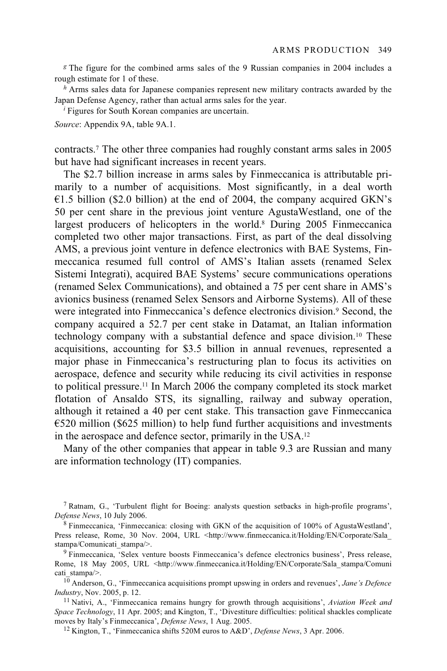*<sup>g</sup>* The figure for the combined arms sales of the 9 Russian companies in 2004 includes a rough estimate for 1 of these.

*h* Arms sales data for Japanese companies represent new military contracts awarded by the Japan Defense Agency, rather than actual arms sales for the year.

*i* Figures for South Korean companies are uncertain.

*Source*: Appendix 9A, table 9A.1.

contracts.7 The other three companies had roughly constant arms sales in 2005 but have had significant increases in recent years.

The \$2.7 billion increase in arms sales by Finmeccanica is attributable primarily to a number of acquisitions. Most significantly, in a deal worth  $E1.5$  billion (\$2.0 billion) at the end of 2004, the company acquired GKN's 50 per cent share in the previous joint venture AgustaWestland, one of the largest producers of helicopters in the world.<sup>8</sup> During 2005 Finmeccanica completed two other major transactions. First, as part of the deal dissolving AMS, a previous joint venture in defence electronics with BAE Systems, Finmeccanica resumed full control of AMS's Italian assets (renamed Selex Sistemi Integrati), acquired BAE Systems' secure communications operations (renamed Selex Communications), and obtained a 75 per cent share in AMS's avionics business (renamed Selex Sensors and Airborne Systems). All of these were integrated into Finmeccanica's defence electronics division.<sup>9</sup> Second, the company acquired a 52.7 per cent stake in Datamat, an Italian information technology company with a substantial defence and space division.10 These acquisitions, accounting for \$3.5 billion in annual revenues, represented a major phase in Finmeccanica's restructuring plan to focus its activities on aerospace, defence and security while reducing its civil activities in response to political pressure.11 In March 2006 the company completed its stock market flotation of Ansaldo STS, its signalling, railway and subway operation, although it retained a 40 per cent stake. This transaction gave Finmeccanica  $\epsilon$ 520 million (\$625 million) to help fund further acquisitions and investments in the aerospace and defence sector, primarily in the USA.12

Many of the other companies that appear in table 9.3 are Russian and many are information technology (IT) companies.

7 Ratnam, G., 'Turbulent flight for Boeing: analysts question setbacks in high-profile programs', *Defense News*, 10 July 2006.<br><sup>8</sup> Finmeccanica, 'Finmeccanica: closing with GKN of the acquisition of 100% of AgustaWestland',

Press release, Rome, 30 Nov. 2004, URL <http://www.finmeccanica.it/Holding/EN/Corporate/Sala stampa/Comunicati\_stampa/>.<br><sup>9</sup> Finmeccanica, 'Selex venture boosts Finmeccanica's defence electronics business', Press release,

Rome, 18 May 2005, URL <http://www.finmeccanica.it/Holding/EN/Corporate/Sala\_stampa/Comuni

<sup>10</sup> Anderson, G., 'Finmeccanica acquisitions prompt upswing in orders and revenues', *Jane's Defence Industry*, Nov. 2005, p. 12. 11 Nativi, A., 'Finmeccanica remains hungry for growth through acquisitions', *Aviation Week and* 

*Space Technology*, 11 Apr. 2005; and Kington, T., 'Divestiture difficulties: political shackles complicate moves by Italy's Finmeccanica', *Defense News*, 1 Aug. 2005.<br><sup>12</sup> Kington, T., 'Finmeccanica shifts 520M euros to A&D', *Defense News*, 3 Apr. 2006.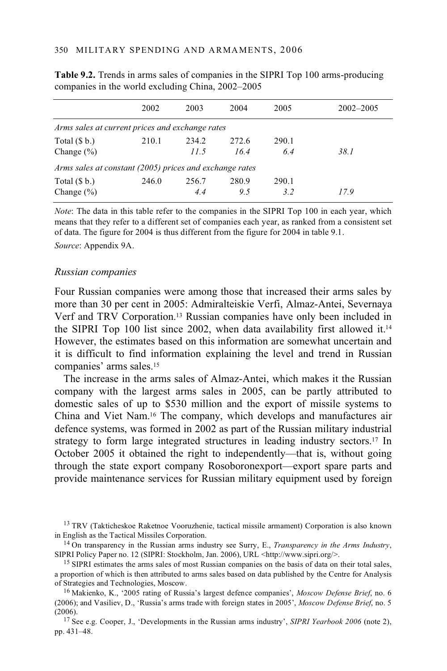|                                                         | 2002  | 2003  | 2004  | 2005  | $2002 - 2005$ |  |
|---------------------------------------------------------|-------|-------|-------|-------|---------------|--|
| Arms sales at current prices and exchange rates         |       |       |       |       |               |  |
| Total $(\$ b.)$                                         | 210.1 | 234.2 | 272.6 | 290.1 |               |  |
| Change $(\% )$                                          |       | 11.5  | 16.4  | 6.4   | 38.1          |  |
| Arms sales at constant (2005) prices and exchange rates |       |       |       |       |               |  |
| Total $(\$ b.)$                                         | 246.0 | 256.7 | 280.9 | 290.1 |               |  |
| Change $(\% )$                                          |       | 4.4   | 9.5   | 3.2   | 17.9          |  |

**Table 9.2.** Trends in arms sales of companies in the SIPRI Top 100 arms-producing companies in the world excluding China, 2002–2005

*Note*: The data in this table refer to the companies in the SIPRI Top 100 in each year, which means that they refer to a different set of companies each year, as ranked from a consistent set of data. The figure for 2004 is thus different from the figure for 2004 in table 9.1.

*Source*: Appendix 9A.

#### *Russian companies*

Four Russian companies were among those that increased their arms sales by more than 30 per cent in 2005: Admiralteiskie Verfi, Almaz-Antei, Severnaya Verf and TRV Corporation.13 Russian companies have only been included in the SIPRI Top 100 list since 2002, when data availability first allowed it.14 However, the estimates based on this information are somewhat uncertain and it is difficult to find information explaining the level and trend in Russian companies' arms sales.15

The increase in the arms sales of Almaz-Antei, which makes it the Russian company with the largest arms sales in 2005, can be partly attributed to domestic sales of up to \$530 million and the export of missile systems to China and Viet Nam.16 The company, which develops and manufactures air defence systems, was formed in 2002 as part of the Russian military industrial strategy to form large integrated structures in leading industry sectors.<sup>17</sup> In October 2005 it obtained the right to independently—that is, without going through the state export company Rosoboronexport—export spare parts and provide maintenance services for Russian military equipment used by foreign

 $13$  TRV (Takticheskoe Raketnoe Vooruzhenie, tactical missile armament) Corporation is also known in English as the Tactical Missiles Corporation.

<sup>14</sup> On transparency in the Russian arms industry see Surry, E., *Transparency in the Arms Industry*, SIPRI Policy Paper no. 12 (SIPRI: Stockholm, Jan. 2006), URL <http://www.sipri.org/>. 15 SIPRI estimates the arms sales of most Russian companies on the basis of data on their total sales,

a proportion of which is then attributed to arms sales based on data published by the Centre for Analysis of Strategies and Technologies, Moscow. 16 Makienko, K., '2005 rating of Russia's largest defence companies', *Moscow Defense Brief*, no. 6

(2006); and Vasiliev, D., 'Russia's arms trade with foreign states in 2005', *Moscow Defense Brief*, no. 5 (2006). 17 See e.g. Cooper, J., 'Developments in the Russian arms industry', *SIPRI Yearbook 2006* (note 2),

pp. 431–48.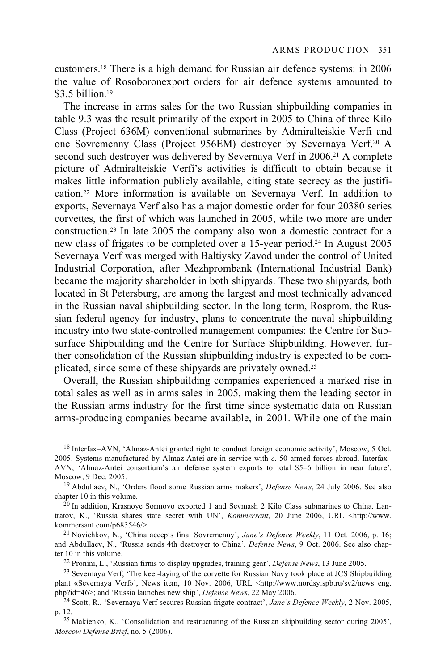customers.18 There is a high demand for Russian air defence systems: in 2006 the value of Rosoboronexport orders for air defence systems amounted to \$3.5 billion.<sup>19</sup>

The increase in arms sales for the two Russian shipbuilding companies in table 9.3 was the result primarily of the export in 2005 to China of three Kilo Class (Project 636M) conventional submarines by Admiralteiskie Verfi and one Sovremenny Class (Project 956EM) destroyer by Severnaya Verf.20 A second such destroyer was delivered by Severnaya Verf in 2006.<sup>21</sup> A complete picture of Admiralteiskie Verfi's activities is difficult to obtain because it makes little information publicly available, citing state secrecy as the justification.22 More information is available on Severnaya Verf. In addition to exports, Severnaya Verf also has a major domestic order for four 20380 series corvettes, the first of which was launched in 2005, while two more are under construction.23 In late 2005 the company also won a domestic contract for a new class of frigates to be completed over a 15-year period.24 In August 2005 Severnaya Verf was merged with Baltiysky Zavod under the control of United Industrial Corporation, after Mezhprombank (International Industrial Bank) became the majority shareholder in both shipyards. These two shipyards, both located in St Petersburg, are among the largest and most technically advanced in the Russian naval shipbuilding sector. In the long term, Rosprom, the Russian federal agency for industry, plans to concentrate the naval shipbuilding industry into two state-controlled management companies: the Centre for Subsurface Shipbuilding and the Centre for Surface Shipbuilding. However, further consolidation of the Russian shipbuilding industry is expected to be complicated, since some of these shipyards are privately owned.25

Overall, the Russian shipbuilding companies experienced a marked rise in total sales as well as in arms sales in 2005, making them the leading sector in the Russian arms industry for the first time since systematic data on Russian arms-producing companies became available, in 2001. While one of the main

18 Interfax–AVN, 'Almaz-Antei granted right to conduct foreign economic activity', Moscow, 5 Oct. 2005. Systems manufactured by Almaz-Antei are in service with *c*. 50 armed forces abroad. Interfax– AVN, 'Almaz-Antei consortium's air defense system exports to total \$5–6 billion in near future',

<sup>19</sup> Abdullaev, N., 'Orders flood some Russian arms makers', *Defense News*, 24 July 2006. See also chapter 10 in this volume.<br><sup>20</sup> In addition, Krasnoye Sormovo exported 1 and Sevmash 2 Kilo Class submarines to China. Lan-

tratov, K., 'Russia shares state secret with UN', *Kommersant*, 20 June 2006, URL <http://www. kommersant.com/p683546/>. 21 Novichkov, N., 'China accepts final Sovremenny', *Jane's Defence Weekly*, 11 Oct. 2006, p. 16;

and Abdullaev, N., 'Russia sends 4th destroyer to China', *Defense News*, 9 Oct. 2006. See also chap-

<sup>22</sup> Pronini, L., 'Russian firms to display upgrades, training gear', *Defense News*, 13 June 2005.<br><sup>23</sup> Severnaya Verf. 'The keel-laying of the corvette for Russian Navy took place at JCS Shipbuilding

plant «Severnaya Verf»', News item, 10 Nov. 2006, URL <http://www.nordsy.spb.ru/sv2/news\_eng.<br>php?id=46>; and 'Russia launches new ship', *Defense News*, 22 May 2006.

<sup>24</sup> Scott, R., 'Severnaya Verf secures Russian frigate contract', *Jane's Defence Weekly*, 2 Nov. 2005, p. 12. 25 Makienko, K., 'Consolidation and restructuring of the Russian shipbuilding sector during 2005',

*Moscow Defense Brief*, no. 5 (2006).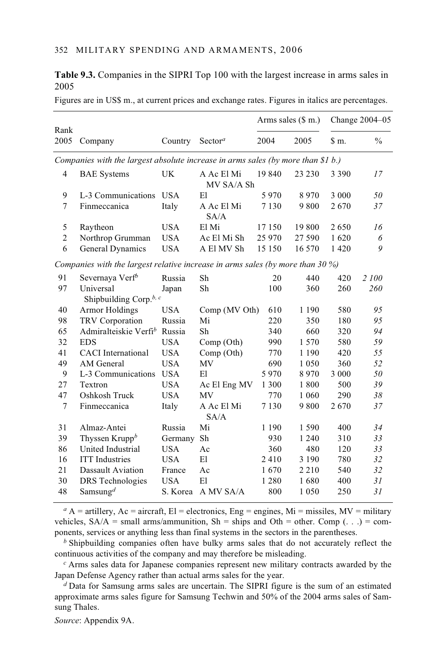**Table 9.3.** Companies in the SIPRI Top 100 with the largest increase in arms sales in 2005

|                |                                                                                    |            |                          |         | Arms sales $(\text{\$ m.})$ |         | Change 2004-05 |
|----------------|------------------------------------------------------------------------------------|------------|--------------------------|---------|-----------------------------|---------|----------------|
| Rank<br>2005   | Company                                                                            | Country    | Sector <sup>a</sup>      | 2004    | 2005                        | \$ m.   | $\frac{0}{0}$  |
|                | Companies with the largest absolute increase in arms sales (by more than \$1 b.)   |            |                          |         |                             |         |                |
| 4              | <b>BAE</b> Systems                                                                 | UK         | A Ac El Mi<br>MV SA/A Sh | 19 840  | 23 230                      | 3 3 9 0 | 17             |
| 9              | L-3 Communications                                                                 | <b>USA</b> | E1                       | 5970    | 8970                        | 3 0 0 0 | 50             |
| $\overline{7}$ | Finmeccanica                                                                       | Italy      | A Ac El Mi<br>SA/A       | 7 1 3 0 | 9800                        | 2670    | 37             |
| 5              | Raytheon                                                                           | <b>USA</b> | El Mi                    | 17 150  | 19 800                      | 2650    | 16             |
| $\overline{c}$ | Northrop Grumman                                                                   | <b>USA</b> | Ac El Mi Sh              | 25 970  | 27 590                      | 1620    | 6              |
| 6              | <b>General Dynamics</b>                                                            | <b>USA</b> | A El MV Sh               | 15 150  | 16 570                      | 1420    | 9              |
|                | Companies with the largest relative increase in arms sales (by more than 30 $\%$ ) |            |                          |         |                             |         |                |
| 91             | Severnaya Verf <sup>b</sup>                                                        | Russia     | Sh                       | 20      | 440                         | 420     | 2 100          |
| 97             | Universal                                                                          | Japan      | Sh                       | 100     | 360                         | 260     | 260            |
|                | Shipbuilding Corp. <sup>b, c</sup>                                                 |            |                          |         |                             |         |                |
| 40             | Armor Holdings                                                                     | <b>USA</b> | Comp (MV Oth)            | 610     | 1 1 9 0                     | 580     | 95             |
| 98             | TRV Corporation                                                                    | Russia     | Mi                       | 220     | 350                         | 180     | 95             |
| 65             | Admiralteiskie Verfi <sup>b</sup>                                                  | Russia     | Sh                       | 340     | 660                         | 320     | 94             |
| 32             | <b>EDS</b>                                                                         | <b>USA</b> | Comp (Oth)               | 990     | 1 570                       | 580     | 59             |
| 41             | <b>CACI</b> International                                                          | <b>USA</b> | Comp (Oth)               | 770     | 1 1 9 0                     | 420     | 55             |
| 49             | AM General                                                                         | <b>USA</b> | MV                       | 690     | 1 0 5 0                     | 360     | 52             |
| 9              | L-3 Communications                                                                 | <b>USA</b> | E1                       | 5970    | 8970                        | 3 0 0 0 | 50             |
| 27             | Textron                                                                            | <b>USA</b> | Ac El Eng MV             | 1 300   | 1800                        | 500     | 39             |
| 47             | Oshkosh Truck                                                                      | <b>USA</b> | MV                       | 770     | 1 0 6 0                     | 290     | 38             |
| $\overline{7}$ | Finmeccanica                                                                       | Italy      | A Ac El Mi<br>SA/A       | 7 1 3 0 | 9800                        | 2670    | 37             |
| 31             | Almaz-Antei                                                                        | Russia     | Mi                       | 1 1 9 0 | 1590                        | 400     | 34             |
| 39             | Thyssen Krupp $b$                                                                  | Germany    | Sh                       | 930     | 1 2 4 0                     | 310     | 33             |
| 86             | United Industrial                                                                  | <b>USA</b> | Ac                       | 360     | 480                         | 120     | 33             |
| 16             | <b>ITT</b> Industries                                                              | <b>USA</b> | E1                       | 2410    | 3 1 9 0                     | 780     | 32             |
| 21             | Dassault Aviation                                                                  | France     | Ac                       | 1670    | 2 2 1 0                     | 540     | 32             |
| 30             | <b>DRS</b> Technologies                                                            | <b>USA</b> | E1                       | 1 2 8 0 | 1680                        | 400     | 31             |
| 48             | Samsung <sup>d</sup>                                                               | S. Korea   | A MV SA/A                | 800     | 1 0 5 0                     | 250     | 31             |

Figures are in US\$ m., at current prices and exchange rates. Figures in italics are percentages.

 $a_A = \text{artilley}$ ,  $Ac = \text{aircraft}$ ,  $El = \text{electronic}$ ,  $Eng = \text{engines}$ ,  $Mi = \text{miss}$ ,  $MV = \text{military}$ vehicles,  $SA/A = small arms/ammunition$ ,  $Sh = ships$  and  $Oth = other$ . Comp (...) = components, services or anything less than final systems in the sectors in the parentheses.

*b* Shipbuilding companies often have bulky arms sales that do not accurately reflect the continuous activities of the company and may therefore be misleading.

*<sup>c</sup>* Arms sales data for Japanese companies represent new military contracts awarded by the Japan Defense Agency rather than actual arms sales for the year.

*<sup>d</sup>* Data for Samsung arms sales are uncertain. The SIPRI figure is the sum of an estimated approximate arms sales figure for Samsung Techwin and 50% of the 2004 arms sales of Samsung Thales.

*Source*: Appendix 9A.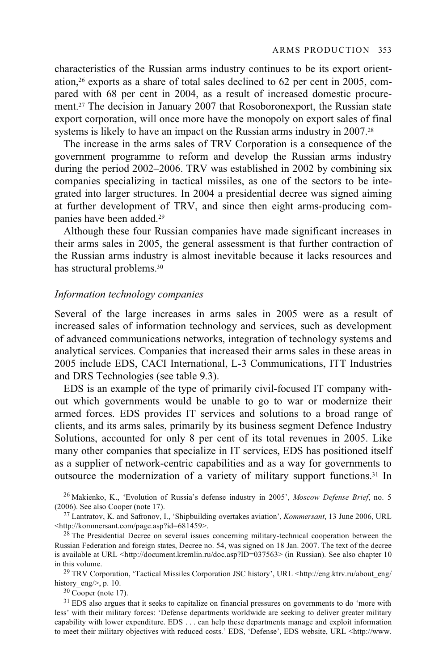characteristics of the Russian arms industry continues to be its export orientation,26 exports as a share of total sales declined to 62 per cent in 2005, compared with 68 per cent in 2004, as a result of increased domestic procurement.27 The decision in January 2007 that Rosoboronexport, the Russian state export corporation, will once more have the monopoly on export sales of final systems is likely to have an impact on the Russian arms industry in 2007.<sup>28</sup>

The increase in the arms sales of TRV Corporation is a consequence of the government programme to reform and develop the Russian arms industry during the period 2002–2006. TRV was established in 2002 by combining six companies specializing in tactical missiles, as one of the sectors to be integrated into larger structures. In 2004 a presidential decree was signed aiming at further development of TRV, and since then eight arms-producing companies have been added.29

Although these four Russian companies have made significant increases in their arms sales in 2005, the general assessment is that further contraction of the Russian arms industry is almost inevitable because it lacks resources and has structural problems.30

#### *Information technology companies*

Several of the large increases in arms sales in 2005 were as a result of increased sales of information technology and services, such as development of advanced communications networks, integration of technology systems and analytical services. Companies that increased their arms sales in these areas in 2005 include EDS, CACI International, L-3 Communications, ITT Industries and DRS Technologies (see table 9.3).

EDS is an example of the type of primarily civil-focused IT company without which governments would be unable to go to war or modernize their armed forces. EDS provides IT services and solutions to a broad range of clients, and its arms sales, primarily by its business segment Defence Industry Solutions, accounted for only 8 per cent of its total revenues in 2005. Like many other companies that specialize in IT services, EDS has positioned itself as a supplier of network-centric capabilities and as a way for governments to outsource the modernization of a variety of military support functions.31 In

<sup>26</sup> Makienko, K., 'Evolution of Russia's defense industry in 2005', *Moscow Defense Brief*, no. 5 (2006). See also Cooper (note 17).

<sup>27</sup> Lantratov, K. and Safronov, I., 'Shipbuilding overtakes aviation', *Kommersant*, 13 June 2006, URL <http://kommersant.com/page.asp?id=681459>.

 $28$  The Presidential Decree on several issues concerning military-technical cooperation between the Russian Federation and foreign states, Decree no. 54, was signed on 18 Jan. 2007. The text of the decree is available at URL <http://document.kremlin.ru/doc.asp?ID=037563> (in Russian). See also chapter 10 in this volume.<br><sup>29</sup> TRV Corporation, 'Tactical Missiles Corporation JSC history', URL <http://eng.ktrv.ru/about\_eng/

history\_eng/>, p. 10.  $30 \text{ Cooper (note 17)}.$ 

<sup>31</sup> EDS also argues that it seeks to capitalize on financial pressures on governments to do 'more with less' with their military forces: 'Defense departments worldwide are seeking to deliver greater military capability with lower expenditure. EDS . . . can help these departments manage and exploit information to meet their military objectives with reduced costs.' EDS, 'Defense', EDS website, URL <http://www.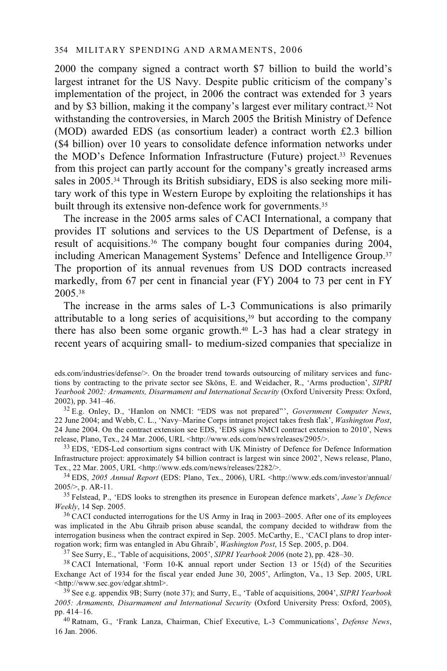2000 the company signed a contract worth \$7 billion to build the world's largest intranet for the US Navy. Despite public criticism of the company's implementation of the project, in 2006 the contract was extended for 3 years and by \$3 billion, making it the company's largest ever military contract.32 Not withstanding the controversies, in March 2005 the British Ministry of Defence (MOD) awarded EDS (as consortium leader) a contract worth £2.3 billion (\$4 billion) over 10 years to consolidate defence information networks under the MOD's Defence Information Infrastructure (Future) project.33 Revenues from this project can partly account for the company's greatly increased arms sales in 2005.34 Through its British subsidiary, EDS is also seeking more military work of this type in Western Europe by exploiting the relationships it has built through its extensive non-defence work for governments.<sup>35</sup>

The increase in the 2005 arms sales of CACI International, a company that provides IT solutions and services to the US Department of Defense, is a result of acquisitions.36 The company bought four companies during 2004, including American Management Systems' Defence and Intelligence Group.37 The proportion of its annual revenues from US DOD contracts increased markedly, from 67 per cent in financial year (FY) 2004 to 73 per cent in FY 2005.38

The increase in the arms sales of L-3 Communications is also primarily attributable to a long series of acquisitions,<sup>39</sup> but according to the company there has also been some organic growth.40 L-3 has had a clear strategy in recent years of acquiring small- to medium-sized companies that specialize in

<sup>32</sup> E.g. Onley, D., 'Hanlon on NMCI: "EDS was not prepared"', *Government Computer News*, 22 June 2004; and Webb, C. L., 'Navy–Marine Corps intranet project takes fresh flak', *Washington Post*, 24 June 2004. On the contract extension see EDS, 'EDS signs NMCI contract extension to 2010', News release, Plano, Tex., 24 Mar. 2006, URL <http://www.eds.com/news/releases/2905/>.

<sup>33</sup> EDS, 'EDS-Led consortium signs contract with UK Ministry of Defence for Defence Information Infrastructure project: approximately \$4 billion contract is largest win since 2002', News release, Plano,

Tex., 22 Mar. 2005, URL <http://www.eds.com/news/releases/2282/>. 34 EDS, *2005 Annual Report* (EDS: Plano, Tex., 2006), URL <http://www.eds.com/investor/annual/

<sup>35</sup> Felstead, P., 'EDS looks to strengthen its presence in European defence markets', *Jane's Defence Weekly*, 14 Sep. 2005.

<sup>36</sup> CACI conducted interrogations for the US Army in Iraq in 2003–2005. After one of its employees was implicated in the Abu Ghraib prison abuse scandal, the company decided to withdraw from the interrogation business when the contract expired in Sep. 2005. McCarthy, E., 'CACI plans to drop inter-<br>rogation work; firm was entangled in Abu Ghraib', *Washington Post*, 15 Sep. 2005, p. D04.

<sup>37</sup> See Surry, E., 'Table of acquisitions, 2005', *SIPRI Yearbook 2006* (note 2), pp. 428–30.<br><sup>38</sup> CACI International, 'Form 10-K annual report under Section 13 or 15(d) of the Securities Exchange Act of 1934 for the fiscal year ended June 30, 2005', Arlington, Va., 13 Sep. 2005, URL <http://www.sec.gov/edgar.shtml>. 39 See e.g. appendix 9B; Surry (note 37); and Surry, E., 'Table of acquisitions, 2004', *SIPRI Yearbook* 

*2005: Armaments, Disarmament and International Security* (Oxford University Press: Oxford, 2005),

<sup>40</sup> Ratnam, G., 'Frank Lanza, Chairman, Chief Executive, L-3 Communications', *Defense News*, 16 Jan. 2006.

eds.com/industries/defense/>. On the broader trend towards outsourcing of military services and functions by contracting to the private sector see Sköns, E. and Weidacher, R., 'Arms production', *SIPRI Yearbook 2002: Armaments, Disarmament and International Security* (Oxford University Press: Oxford,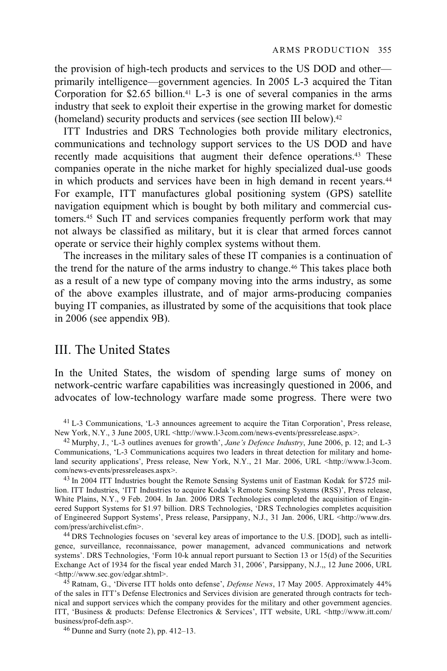the provision of high-tech products and services to the US DOD and other primarily intelligence—government agencies. In 2005 L-3 acquired the Titan Corporation for  $$2.65$  billion.<sup>41</sup> L-3 is one of several companies in the arms industry that seek to exploit their expertise in the growing market for domestic (homeland) security products and services (see section III below).42

ITT Industries and DRS Technologies both provide military electronics, communications and technology support services to the US DOD and have recently made acquisitions that augment their defence operations.43 These companies operate in the niche market for highly specialized dual-use goods in which products and services have been in high demand in recent years.<sup>44</sup> For example, ITT manufactures global positioning system (GPS) satellite navigation equipment which is bought by both military and commercial customers.45 Such IT and services companies frequently perform work that may not always be classified as military, but it is clear that armed forces cannot operate or service their highly complex systems without them.

The increases in the military sales of these IT companies is a continuation of the trend for the nature of the arms industry to change.46 This takes place both as a result of a new type of company moving into the arms industry, as some of the above examples illustrate, and of major arms-producing companies buying IT companies, as illustrated by some of the acquisitions that took place in 2006 (see appendix 9B).

## III. The United States

In the United States, the wisdom of spending large sums of money on network-centric warfare capabilities was increasingly questioned in 2006, and advocates of low-technology warfare made some progress. There were two

<sup>41</sup> L-3 Communications, 'L-3 announces agreement to acquire the Titan Corporation', Press release, New York, N.Y., 3 June 2005, URL <http://www.l-3com.com/news-events/pressrelease.aspx>.

<sup>42</sup> Murphy, J., 'L-3 outlines avenues for growth', *Jane's Defence Industry*, June 2006, p. 12; and L-3 Communications, 'L-3 Communications acquires two leaders in threat detection for military and homeland security applications', Press release, New York, N.Y., 21 Mar. 2006, URL <http://www.l-3com. com/news-events/pressreleases.aspx>.

<sup>43</sup> In 2004 ITT Industries bought the Remote Sensing Systems unit of Eastman Kodak for \$725 million. ITT Industries, 'ITT Industries to acquire Kodak's Remote Sensing Systems (RSS)', Press release, White Plains, N.Y., 9 Feb. 2004. In Jan. 2006 DRS Technologies completed the acquisition of Engineered Support Systems for \$1.97 billion. DRS Technologies, 'DRS Technologies completes acquisition of Engineered Support Systems', Press release, Parsippany, N.J., 31 Jan. 2006, URL <http://www.drs. com/press/archivelist.cfm>. 44 DRS Technologies focuses on 'several key areas of importance to the U.S. [DOD], such as intelli-

gence, surveillance, reconnaissance, power management, advanced communications and network systems'. DRS Technologies, 'Form 10-k annual report pursuant to Section 13 or 15(d) of the Securities Exchange Act of 1934 for the fiscal year ended March 31, 2006', Parsippany, N.J.,, 12 June 2006, URL <http://www.sec.gov/edgar.shtml>.

<sup>45</sup> Ratnam, G., 'Diverse ITT holds onto defense', *Defense News*, 17 May 2005. Approximately 44% of the sales in ITT's Defense Electronics and Services division are generated through contracts for technical and support services which the company provides for the military and other government agencies. ITT, 'Business & products: Defense Electronics & Services', ITT website, URL <http://www.itt.com/ business/prof-defn.asp>.<br><sup>46</sup> Dunne and Surry (note 2), pp. 412–13.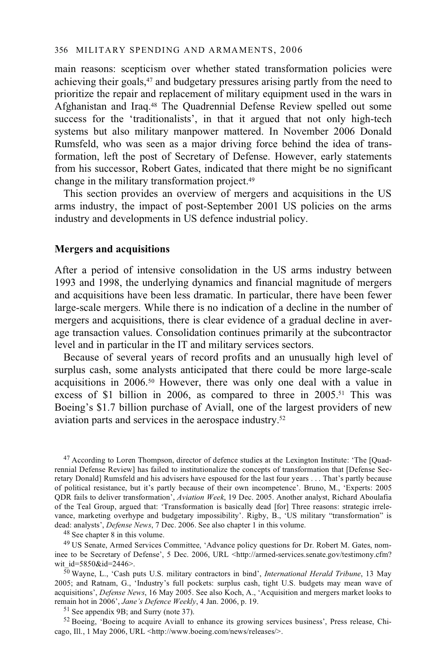main reasons: scepticism over whether stated transformation policies were achieving their goals,<sup>47</sup> and budgetary pressures arising partly from the need to prioritize the repair and replacement of military equipment used in the wars in Afghanistan and Iraq.48 The Quadrennial Defense Review spelled out some success for the 'traditionalists', in that it argued that not only high-tech systems but also military manpower mattered. In November 2006 Donald Rumsfeld, who was seen as a major driving force behind the idea of transformation, left the post of Secretary of Defense. However, early statements from his successor, Robert Gates, indicated that there might be no significant change in the military transformation project.49

This section provides an overview of mergers and acquisitions in the US arms industry, the impact of post-September 2001 US policies on the arms industry and developments in US defence industrial policy.

#### **Mergers and acquisitions**

After a period of intensive consolidation in the US arms industry between 1993 and 1998, the underlying dynamics and financial magnitude of mergers and acquisitions have been less dramatic. In particular, there have been fewer large-scale mergers. While there is no indication of a decline in the number of mergers and acquisitions, there is clear evidence of a gradual decline in average transaction values. Consolidation continues primarily at the subcontractor level and in particular in the IT and military services sectors.

Because of several years of record profits and an unusually high level of surplus cash, some analysts anticipated that there could be more large-scale acquisitions in 2006.50 However, there was only one deal with a value in excess of \$1 billion in 2006, as compared to three in 2005.<sup>51</sup> This was Boeing's \$1.7 billion purchase of Aviall, one of the largest providers of new aviation parts and services in the aerospace industry.52

47 According to Loren Thompson, director of defence studies at the Lexington Institute: 'The [Quadrennial Defense Review] has failed to institutionalize the concepts of transformation that [Defense Secretary Donald] Rumsfeld and his advisers have espoused for the last four years . . . That's partly because of political resistance, but it's partly because of their own incompetence'. Bruno, M., 'Experts: 2005 QDR fails to deliver transformation', *Aviation Week*, 19 Dec. 2005. Another analyst, Richard Aboulafia of the Teal Group, argued that: 'Transformation is basically dead [for] Three reasons: strategic irrelevance, marketing overhype and budgetary impossibility'. Rigby, B., 'US military "transformation" is dead: analysts', *Defense News*, 7 Dec. 2006. See also chapter 1 in this volume. <sup>48</sup> See chapter 8 in this volume.

49 US Senate, Armed Services Committee, 'Advance policy questions for Dr. Robert M. Gates, nominee to be Secretary of Defense', 5 Dec. 2006, URL <http://armed-services.senate.gov/testimony.cfm?<br>wit id=5850&id=2446>.

<sup>50</sup> Wayne, L., 'Cash puts U.S. military contractors in bind', *International Herald Tribune*, 13 May 2005; and Ratnam, G., 'Industry's full pockets: surplus cash, tight U.S. budgets may mean wave of acquisitions', *Defense News*, 16 May 2005. See also Koch, A., 'Acquisition and mergers market looks to remain hot in 2006', *Jane's Defence Weekly*, 4 Jan. 2006, p. 19. 51 See appendix 9B; and Surry (note 37).

52 Boeing, 'Boeing to acquire Aviall to enhance its growing services business', Press release, Chicago, Ill., 1 May 2006, URL <http://www.boeing.com/news/releases/>.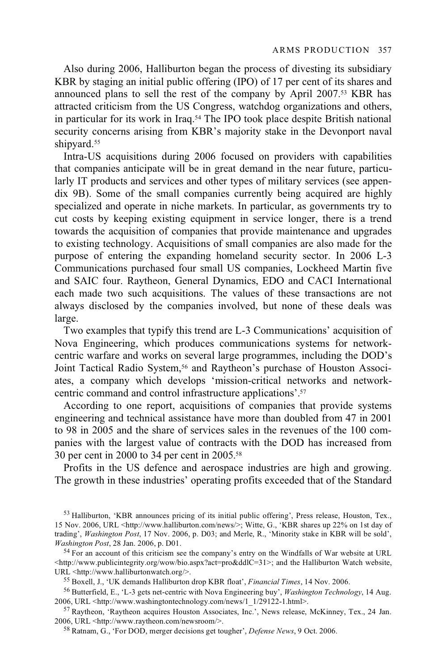Also during 2006, Halliburton began the process of divesting its subsidiary KBR by staging an initial public offering (IPO) of 17 per cent of its shares and announced plans to sell the rest of the company by April 2007.<sup>53</sup> KBR has attracted criticism from the US Congress, watchdog organizations and others, in particular for its work in Iraq.54 The IPO took place despite British national security concerns arising from KBR's majority stake in the Devonport naval shipyard.<sup>55</sup>

Intra-US acquisitions during 2006 focused on providers with capabilities that companies anticipate will be in great demand in the near future, particularly IT products and services and other types of military services (see appendix 9B). Some of the small companies currently being acquired are highly specialized and operate in niche markets. In particular, as governments try to cut costs by keeping existing equipment in service longer, there is a trend towards the acquisition of companies that provide maintenance and upgrades to existing technology. Acquisitions of small companies are also made for the purpose of entering the expanding homeland security sector. In 2006 L-3 Communications purchased four small US companies, Lockheed Martin five and SAIC four. Raytheon, General Dynamics, EDO and CACI International each made two such acquisitions. The values of these transactions are not always disclosed by the companies involved, but none of these deals was large.

Two examples that typify this trend are L-3 Communications' acquisition of Nova Engineering, which produces communications systems for networkcentric warfare and works on several large programmes, including the DOD's Joint Tactical Radio System,<sup>56</sup> and Raytheon's purchase of Houston Associates, a company which develops 'mission-critical networks and networkcentric command and control infrastructure applications'.57

According to one report, acquisitions of companies that provide systems engineering and technical assistance have more than doubled from 47 in 2001 to 98 in 2005 and the share of services sales in the revenues of the 100 companies with the largest value of contracts with the DOD has increased from 30 per cent in 2000 to 34 per cent in 2005.58

Profits in the US defence and aerospace industries are high and growing. The growth in these industries' operating profits exceeded that of the Standard

<sup>53</sup> Halliburton, 'KBR announces pricing of its initial public offering', Press release, Houston, Tex., 15 Nov. 2006, URL <http://www.halliburton.com/news/>; Witte, G., 'KBR shares up 22% on 1st day of trading', *Washington Post*, 17 Nov. 2006, p. D03; and Merle, R., 'Minority stake in KBR will be sold', *Washington Post*, 28 Jan. 2006, p. D01.<br><sup>54</sup> For an account of this criticism see the company's entry on the Windfalls of War website at URL

<sup>&</sup>lt;http://www.publicintegrity.org/wow/bio.aspx?act=pro&ddlC=31>; and the Halliburton Watch website,

<sup>&</sup>lt;sup>55</sup> Boxell, J., 'UK demands Halliburton drop KBR float', *Financial Times*, 14 Nov. 2006.<br><sup>56</sup> Butterfield, E., 'L-3 gets net-centric with Nova Engineering buy', *Washington Technology*, 14 Aug.<br>2006, URL <http://www.wash

<sup>&</sup>lt;sup>57</sup> Raytheon, 'Raytheon acquires Houston Associates, Inc.', News release, McKinney, Tex., 24 Jan. 2006, URL <http://www.raytheon.com/newsroom/>. 58 Ratnam, G., 'For DOD, merger decisions get tougher', *Defense News*, 9 Oct. 2006.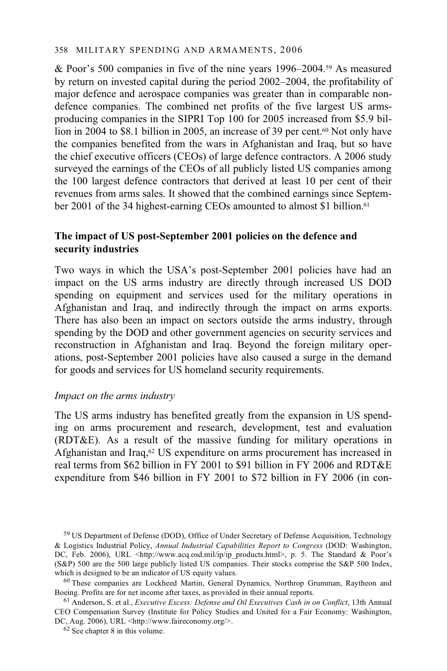& Poor's 500 companies in five of the nine years 1996–2004.59 As measured by return on invested capital during the period 2002–2004, the profitability of major defence and aerospace companies was greater than in comparable nondefence companies. The combined net profits of the five largest US armsproducing companies in the SIPRI Top 100 for 2005 increased from \$5.9 billion in 2004 to \$8.1 billion in 2005, an increase of 39 per cent.<sup>60</sup> Not only have the companies benefited from the wars in Afghanistan and Iraq, but so have the chief executive officers (CEOs) of large defence contractors. A 2006 study surveyed the earnings of the CEOs of all publicly listed US companies among the 100 largest defence contractors that derived at least 10 per cent of their revenues from arms sales. It showed that the combined earnings since September 2001 of the 34 highest-earning CEOs amounted to almost \$1 billion.<sup>61</sup>

### **The impact of US post-September 2001 policies on the defence and security industries**

Two ways in which the USA's post-September 2001 policies have had an impact on the US arms industry are directly through increased US DOD spending on equipment and services used for the military operations in Afghanistan and Iraq, and indirectly through the impact on arms exports. There has also been an impact on sectors outside the arms industry, through spending by the DOD and other government agencies on security services and reconstruction in Afghanistan and Iraq. Beyond the foreign military operations, post-September 2001 policies have also caused a surge in the demand for goods and services for US homeland security requirements.

#### *Impact on the arms industry*

The US arms industry has benefited greatly from the expansion in US spending on arms procurement and research, development, test and evaluation (RDT&E). As a result of the massive funding for military operations in Afghanistan and Iraq,<sup>62</sup> US expenditure on arms procurement has increased in real terms from \$62 billion in FY 2001 to \$91 billion in FY 2006 and RDT&E expenditure from \$46 billion in FY 2001 to \$72 billion in FY 2006 (in con-

<sup>59</sup> US Department of Defense (DOD), Office of Under Secretary of Defense Acquisition, Technology & Logistics Industrial Policy, *Annual Industrial Capabilities Report to Congress* (DOD: Washington, DC, Feb. 2006), URL <http://www.acq.osd.mil/ip/ip\_products.html>, p. 5. The Standard & Poor's (S&P) 500 are the 500 large publicly listed US companies. Their stocks comprise the S&P 500 Index, which is designed to be an indicator of US equity values.

 $60$  These companies are Lockheed Martin, General Dynamics, Northrop Grumman, Raytheon and Boeing. Profits are for net income after taxes, as provided in their annual reports. 61 Anderson, S. et al., *Executive Excess: Defense and Oil Executives Cash in on Conflict*, 13th Annual

CEO Compensation Survey (Institute for Policy Studies and United for a Fair Economy: Washington, DC, Aug. 2006), URL <http://www.faireconomy.org/>. 62 See chapter 8 in this volume.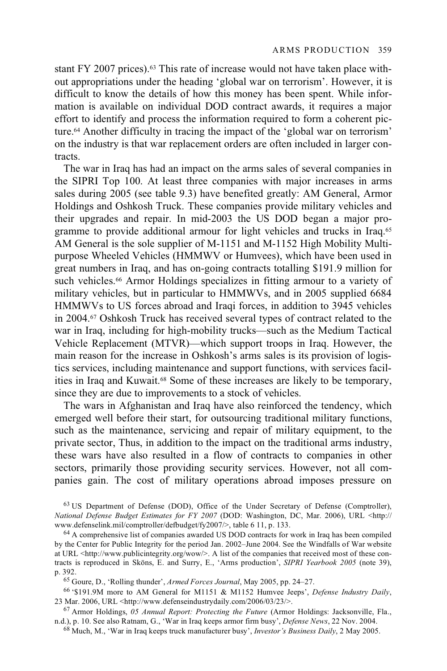stant FY 2007 prices).63 This rate of increase would not have taken place without appropriations under the heading 'global war on terrorism'. However, it is difficult to know the details of how this money has been spent. While information is available on individual DOD contract awards, it requires a major effort to identify and process the information required to form a coherent picture.64 Another difficulty in tracing the impact of the 'global war on terrorism' on the industry is that war replacement orders are often included in larger contracts.

The war in Iraq has had an impact on the arms sales of several companies in the SIPRI Top 100. At least three companies with major increases in arms sales during 2005 (see table 9.3) have benefited greatly: AM General, Armor Holdings and Oshkosh Truck. These companies provide military vehicles and their upgrades and repair. In mid-2003 the US DOD began a major programme to provide additional armour for light vehicles and trucks in Iraq.65 AM General is the sole supplier of M-1151 and M-1152 High Mobility Multipurpose Wheeled Vehicles (HMMWV or Humvees), which have been used in great numbers in Iraq, and has on-going contracts totalling \$191.9 million for such vehicles.<sup>66</sup> Armor Holdings specializes in fitting armour to a variety of military vehicles, but in particular to HMMWVs, and in 2005 supplied 6684 HMMWVs to US forces abroad and Iraqi forces, in addition to 3945 vehicles in 2004.67 Oshkosh Truck has received several types of contract related to the war in Iraq, including for high-mobility trucks—such as the Medium Tactical Vehicle Replacement (MTVR)—which support troops in Iraq. However, the main reason for the increase in Oshkosh's arms sales is its provision of logistics services, including maintenance and support functions, with services facilities in Iraq and Kuwait.68 Some of these increases are likely to be temporary, since they are due to improvements to a stock of vehicles.

The wars in Afghanistan and Iraq have also reinforced the tendency, which emerged well before their start, for outsourcing traditional military functions, such as the maintenance, servicing and repair of military equipment, to the private sector, Thus, in addition to the impact on the traditional arms industry, these wars have also resulted in a flow of contracts to companies in other sectors, primarily those providing security services. However, not all companies gain. The cost of military operations abroad imposes pressure on

63 US Department of Defense (DOD), Office of the Under Secretary of Defense (Comptroller), *National Defense Budget Estimates for FY 2007* (DOD: Washington, DC, Mar. 2006), URL <http://<br>www.defenselink.mil/comptroller/defbudget/fy2007/>, table 6 11, p. 133.

 $64$  A comprehensive list of companies awarded US DOD contracts for work in Iraq has been compiled by the Center for Public Integrity for the period Jan. 2002–June 2004. See the Windfalls of War website at URL <http://www.publicintegrity.org/wow/>. A list of the companies that received most of these contracts is reproduced in Sköns, E. and Surry, E., 'Arms production', *SIPRI Yearbook 2005* (note 39),

p. 392.<br><sup>65</sup> Goure, D., 'Rolling thunder', *Armed Forces Journal*, May 2005, pp. 24–27.<br><sup>66</sup> '\$191.9M more to AM General for M1151 & M1152 Humvee Jeeps', *Defense Industry Daily*,<br>23 Mar. 2006. URL <http://www.defenseindus

<sup>67</sup> Armor Holdings, 05 Annual Report: Protecting the Future (Armor Holdings: Jacksonville, Fla., n.d.), p. 10. See also Ratnam, G., 'War in Iraq keeps armor firm busy', *Defense News*, 22 Nov. 2004.

<sup>68</sup> Much, M., 'War in Iraq keeps truck manufacturer busy', *Investor's Business Daily*, 2 May 2005.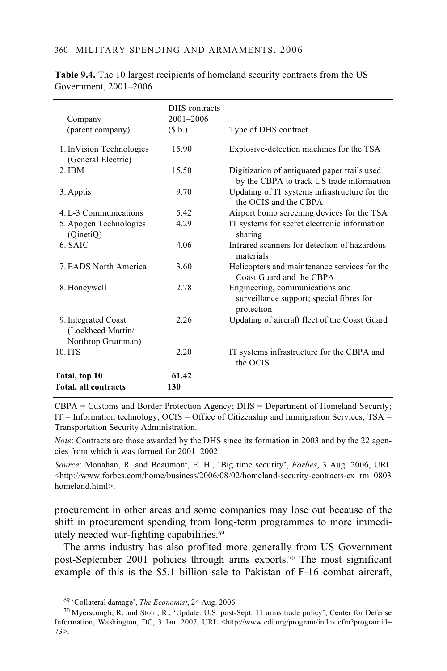| Company<br>(parent company)                                   | DHS contracts<br>2001-2006<br>(S <sub>b</sub> ) | Type of DHS contract                                                                      |
|---------------------------------------------------------------|-------------------------------------------------|-------------------------------------------------------------------------------------------|
| 1. In Vision Technologies<br>(General Electric)               | 15.90                                           | Explosive-detection machines for the TSA                                                  |
| $2.$ IBM                                                      | 15.50                                           | Digitization of antiquated paper trails used<br>by the CBPA to track US trade information |
| 3. Apptis                                                     | 9.70                                            | Updating of IT systems infrastructure for the<br>the OCIS and the CBPA                    |
| 4. L-3 Communications                                         | 5.42                                            | Airport bomb screening devices for the TSA                                                |
| 5. Apogen Technologies<br>(QinetiQ)                           | 4.29                                            | IT systems for secret electronic information<br>sharing                                   |
| 6. SAIC                                                       | 4.06                                            | Infrared scanners for detection of hazardous<br>materials                                 |
| 7. EADS North America                                         | 3.60                                            | Helicopters and maintenance services for the<br>Coast Guard and the CBPA                  |
| 8. Honeywell                                                  | 2.78                                            | Engineering, communications and<br>surveillance support; special fibres for<br>protection |
| 9. Integrated Coast<br>(Lockheed Martin/<br>Northrop Grumman) | 2.26                                            | Updating of aircraft fleet of the Coast Guard                                             |
| 10.ITS                                                        | 2.20                                            | IT systems infrastructure for the CBPA and<br>the OCIS                                    |
| Total, top 10<br>Total, all contracts                         | 61.42<br>130                                    |                                                                                           |

**Table 9.4.** The 10 largest recipients of homeland security contracts from the US Government, 2001–2006

CBPA = Customs and Border Protection Agency; DHS = Department of Homeland Security;  $IT = Information technology$ ;  $OCIS = Office of Citizenship and Immunigration Services$ ;  $TSA =$ Transportation Security Administration.

*Note*: Contracts are those awarded by the DHS since its formation in 2003 and by the 22 agencies from which it was formed for 2001–2002

*Source*: Monahan, R. and Beaumont, E. H., 'Big time security', *Forbes*, 3 Aug. 2006, URL  $\lt$ http://www.forbes.com/home/business/2006/08/02/homeland-security-contracts-cx\_rm\_0803 homeland.html>.

procurement in other areas and some companies may lose out because of the shift in procurement spending from long-term programmes to more immediately needed war-fighting capabilities.69

The arms industry has also profited more generally from US Government post-September 2001 policies through arms exports.70 The most significant example of this is the \$5.1 billion sale to Pakistan of F-16 combat aircraft,

<sup>69 &#</sup>x27;Collateral damage', *The Economist*, 24 Aug. 2006. 70 Myerscough, R. and Stohl, R., 'Update: U.S. post-Sept. 11 arms trade policy', Center for Defense Information, Washington, DC, 3 Jan. 2007, URL <http://www.cdi.org/program/index.cfm?programid= 73>.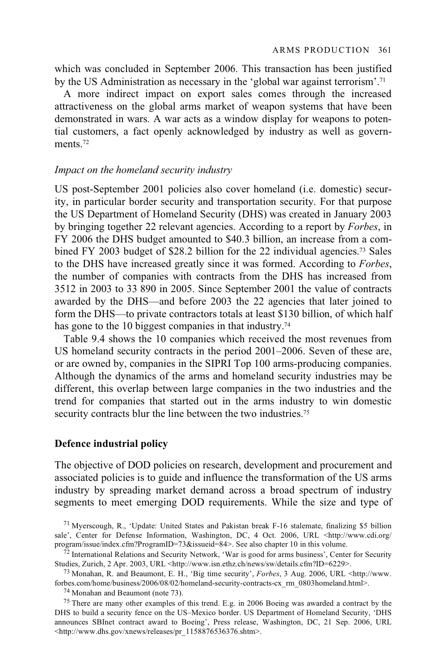which was concluded in September 2006. This transaction has been justified by the US Administration as necessary in the 'global war against terrorism'.71

A more indirect impact on export sales comes through the increased attractiveness on the global arms market of weapon systems that have been demonstrated in wars. A war acts as a window display for weapons to potential customers, a fact openly acknowledged by industry as well as governments<sup>72</sup>

#### *Impact on the homeland security industry*

US post-September 2001 policies also cover homeland (i.e. domestic) security, in particular border security and transportation security. For that purpose the US Department of Homeland Security (DHS) was created in January 2003 by bringing together 22 relevant agencies. According to a report by *Forbes*, in FY 2006 the DHS budget amounted to \$40.3 billion, an increase from a combined FY 2003 budget of \$28.2 billion for the 22 individual agencies.73 Sales to the DHS have increased greatly since it was formed. According to *Forbes*, the number of companies with contracts from the DHS has increased from 3512 in 2003 to 33 890 in 2005. Since September 2001 the value of contracts awarded by the DHS—and before 2003 the 22 agencies that later joined to form the DHS—to private contractors totals at least \$130 billion, of which half has gone to the 10 biggest companies in that industry.<sup>74</sup>

Table 9.4 shows the 10 companies which received the most revenues from US homeland security contracts in the period 2001–2006. Seven of these are, or are owned by, companies in the SIPRI Top 100 arms-producing companies. Although the dynamics of the arms and homeland security industries may be different, this overlap between large companies in the two industries and the trend for companies that started out in the arms industry to win domestic security contracts blur the line between the two industries.<sup>75</sup>

#### **Defence industrial policy**

The objective of DOD policies on research, development and procurement and associated policies is to guide and influence the transformation of the US arms industry by spreading market demand across a broad spectrum of industry segments to meet emerging DOD requirements. While the size and type of

<sup>75</sup> There are many other examples of this trend. E.g. in 2006 Boeing was awarded a contract by the DHS to build a security fence on the US–Mexico border. US Department of Homeland Security, 'DHS announces SBInet contract award to Boeing', Press release, Washington, DC, 21 Sep. 2006, URL <http://www.dhs.gov/xnews/releases/pr\_1158876536376.shtm>.

<sup>71</sup> Myerscough, R., 'Update: United States and Pakistan break F-16 stalemate, finalizing \$5 billion sale', Center for Defense Information, Washington, DC, 4 Oct. 2006, URL <http://www.cdi.org/<br>program/issue/index.cfm?ProgramID=73&issueid=84>. See also chapter 10 in this volume.

<sup>&</sup>lt;sup>72</sup> International Relations and Security Network, 'War is good for arms business', Center for Security Studies, Zurich, 2 Apr. 2003, URL <http://www.isn.ethz.ch/news/sw/details.cfm?ID=6229>.

<sup>&</sup>lt;sup>73</sup> Monahan, R. and Beaumont, E. H., 'Big time security', *Forbes*, 3 Aug. 2006, URL <http://www. forbes.com/home/business/2006/08/02/homeland-security-contracts-cx\_rm\_0803homeland.html>. 74 Monahan and Beaumont (note 73).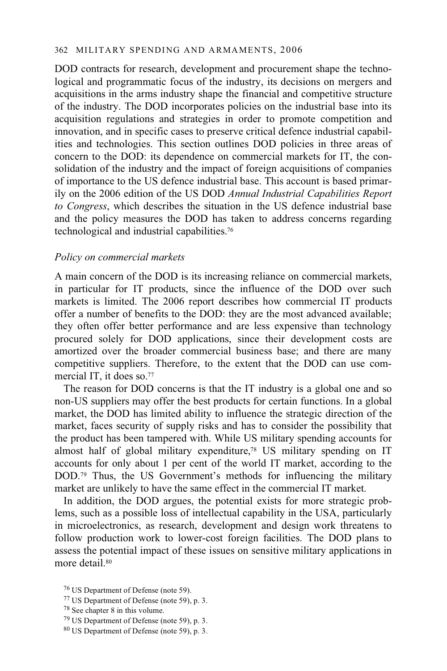DOD contracts for research, development and procurement shape the technological and programmatic focus of the industry, its decisions on mergers and acquisitions in the arms industry shape the financial and competitive structure of the industry. The DOD incorporates policies on the industrial base into its acquisition regulations and strategies in order to promote competition and innovation, and in specific cases to preserve critical defence industrial capabilities and technologies. This section outlines DOD policies in three areas of concern to the DOD: its dependence on commercial markets for IT, the consolidation of the industry and the impact of foreign acquisitions of companies of importance to the US defence industrial base. This account is based primarily on the 2006 edition of the US DOD *Annual Industrial Capabilities Report to Congress*, which describes the situation in the US defence industrial base and the policy measures the DOD has taken to address concerns regarding technological and industrial capabilities.76

#### *Policy on commercial markets*

A main concern of the DOD is its increasing reliance on commercial markets, in particular for IT products, since the influence of the DOD over such markets is limited. The 2006 report describes how commercial IT products offer a number of benefits to the DOD: they are the most advanced available; they often offer better performance and are less expensive than technology procured solely for DOD applications, since their development costs are amortized over the broader commercial business base; and there are many competitive suppliers. Therefore, to the extent that the DOD can use commercial IT, it does so.<sup>77</sup>

The reason for DOD concerns is that the IT industry is a global one and so non-US suppliers may offer the best products for certain functions. In a global market, the DOD has limited ability to influence the strategic direction of the market, faces security of supply risks and has to consider the possibility that the product has been tampered with. While US military spending accounts for almost half of global military expenditure,78 US military spending on IT accounts for only about 1 per cent of the world IT market, according to the DOD.<sup>79</sup> Thus, the US Government's methods for influencing the military market are unlikely to have the same effect in the commercial IT market.

In addition, the DOD argues, the potential exists for more strategic problems, such as a possible loss of intellectual capability in the USA, particularly in microelectronics, as research, development and design work threatens to follow production work to lower-cost foreign facilities. The DOD plans to assess the potential impact of these issues on sensitive military applications in more detail.<sup>80</sup>

77 US Department of Defense (note 59), p. 3.

80 US Department of Defense (note 59), p. 3.

<sup>76</sup> US Department of Defense (note 59).

<sup>78</sup> See chapter 8 in this volume.

<sup>79</sup> US Department of Defense (note 59), p. 3.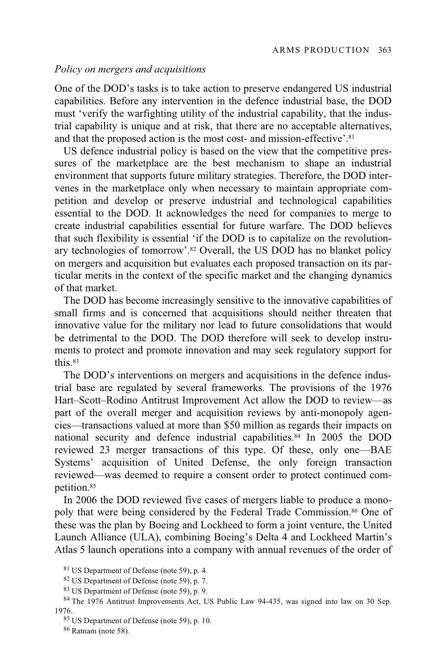#### *Policy on mergers and acquisitions*

One of the DOD's tasks is to take action to preserve endangered US industrial capabilities. Before any intervention in the defence industrial base, the DOD must 'verify the warfighting utility of the industrial capability, that the industrial capability is unique and at risk, that there are no acceptable alternatives, and that the proposed action is the most cost- and mission-effective'.<sup>81</sup>

US defence industrial policy is based on the view that the competitive pressures of the marketplace are the best mechanism to shape an industrial environment that supports future military strategies. Therefore, the DOD intervenes in the marketplace only when necessary to maintain appropriate competition and develop or preserve industrial and technological capabilities essential to the DOD. It acknowledges the need for companies to merge to create industrial capabilities essential for future warfare. The DOD believes that such flexibility is essential 'if the DOD is to capitalize on the revolutionary technologies of tomorrow'.82 Overall, the US DOD has no blanket policy on mergers and acquisition but evaluates each proposed transaction on its particular merits in the context of the specific market and the changing dynamics of that market.

The DOD has become increasingly sensitive to the innovative capabilities of small firms and is concerned that acquisitions should neither threaten that innovative value for the military nor lead to future consolidations that would be detrimental to the DOD. The DOD therefore will seek to develop instruments to protect and promote innovation and may seek regulatory support for this.83

The DOD's interventions on mergers and acquisitions in the defence industrial base are regulated by several frameworks. The provisions of the 1976 Hart–Scott–Rodino Antitrust Improvement Act allow the DOD to review—as part of the overall merger and acquisition reviews by anti-monopoly agencies—transactions valued at more than \$50 million as regards their impacts on national security and defence industrial capabilities.84 In 2005 the DOD reviewed 23 merger transactions of this type. Of these, only one—BAE Systems' acquisition of United Defense, the only foreign transaction reviewed—was deemed to require a consent order to protect continued competition.85

In 2006 the DOD reviewed five cases of mergers liable to produce a monopoly that were being considered by the Federal Trade Commission.<sup>86</sup> One of these was the plan by Boeing and Lockheed to form a joint venture, the United Launch Alliance (ULA), combining Boeing's Delta 4 and Lockheed Martin's Atlas 5 launch operations into a company with annual revenues of the order of

83 US Department of Defense (note 59), p. 9.

86 Ratnam (note 58).

<sup>81</sup> US Department of Defense (note 59), p. 4.

<sup>82</sup> US Department of Defense (note 59), p. 7.

<sup>84</sup> The 1976 Antitrust Improvements Act, US Public Law 94-435, was signed into law on 30 Sep. 1976.<br><sup>85</sup> US Department of Defense (note 59), p. 10.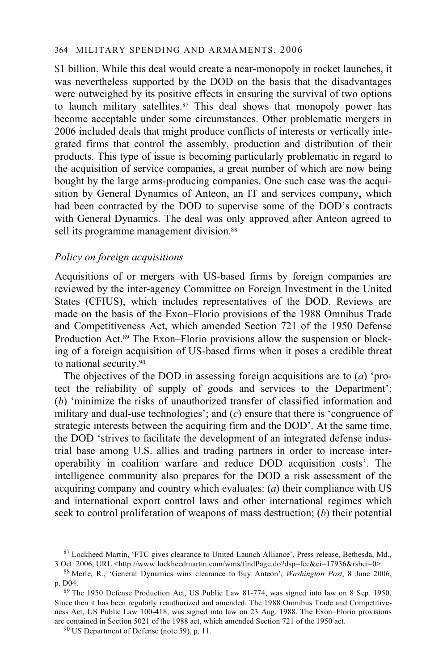\$1 billion. While this deal would create a near-monopoly in rocket launches, it was nevertheless supported by the DOD on the basis that the disadvantages were outweighed by its positive effects in ensuring the survival of two options to launch military satellites.<sup>87</sup> This deal shows that monopoly power has become acceptable under some circumstances. Other problematic mergers in 2006 included deals that might produce conflicts of interests or vertically integrated firms that control the assembly, production and distribution of their products. This type of issue is becoming particularly problematic in regard to the acquisition of service companies, a great number of which are now being bought by the large arms-producing companies. One such case was the acquisition by General Dynamics of Anteon, an IT and services company, which had been contracted by the DOD to supervise some of the DOD's contracts with General Dynamics. The deal was only approved after Anteon agreed to sell its programme management division.<sup>88</sup>

### *Policy on foreign acquisitions*

Acquisitions of or mergers with US-based firms by foreign companies are reviewed by the inter-agency Committee on Foreign Investment in the United States (CFIUS), which includes representatives of the DOD. Reviews are made on the basis of the Exon–Florio provisions of the 1988 Omnibus Trade and Competitiveness Act, which amended Section 721 of the 1950 Defense Production Act.89 The Exon–Florio provisions allow the suspension or blocking of a foreign acquisition of US-based firms when it poses a credible threat to national security.90

The objectives of the DOD in assessing foreign acquisitions are to (*a*) 'protect the reliability of supply of goods and services to the Department'; (*b*) 'minimize the risks of unauthorized transfer of classified information and military and dual-use technologies'; and (*c*) ensure that there is 'congruence of strategic interests between the acquiring firm and the DOD'. At the same time, the DOD 'strives to facilitate the development of an integrated defense industrial base among U.S. allies and trading partners in order to increase interoperability in coalition warfare and reduce DOD acquisition costs'. The intelligence community also prepares for the DOD a risk assessment of the acquiring company and country which evaluates: (*a*) their compliance with US and international export control laws and other international regimes which seek to control proliferation of weapons of mass destruction; (*b*) their potential

<sup>&</sup>lt;sup>87</sup> Lockheed Martin, 'FTC gives clearance to United Launch Alliance', Press release, Bethesda, Md., 3 Oct. 2006, URL <http://www.lockheedmartin.com/wms/findPage.do?dsp=fec&ci=17936&rsbci=0>.

<sup>&</sup>lt;sup>88</sup> Merle, R., 'General Dynamics wins clearance to buy Anteon', *Washington Post*, 8 June 2006,

p. D04.<br><sup>89</sup> The 1950 Defense Production Act, US Public Law 81-774, was signed into law on 8 Sep. 1950. Since then it has been regularly reauthorized and amended. The 1988 Omnibus Trade and Competitiveness Act, US Public Law 100-418, was signed into law on 23 Aug. 1988. The Exon–Florio provisions are contained in Section 5021 of the 1988 act, which amended Section 721 of the 1950 act. <sup>90</sup> US Department of Defense (note 59), p. 11.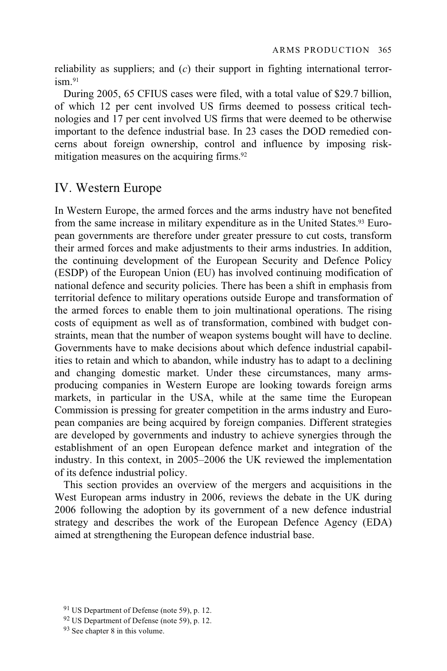reliability as suppliers; and (*c*) their support in fighting international terror $i$ sm $91$ 

During 2005, 65 CFIUS cases were filed, with a total value of \$29.7 billion, of which 12 per cent involved US firms deemed to possess critical technologies and 17 per cent involved US firms that were deemed to be otherwise important to the defence industrial base. In 23 cases the DOD remedied concerns about foreign ownership, control and influence by imposing riskmitigation measures on the acquiring firms.92

# IV. Western Europe

In Western Europe, the armed forces and the arms industry have not benefited from the same increase in military expenditure as in the United States.93 European governments are therefore under greater pressure to cut costs, transform their armed forces and make adjustments to their arms industries. In addition, the continuing development of the European Security and Defence Policy (ESDP) of the European Union (EU) has involved continuing modification of national defence and security policies. There has been a shift in emphasis from territorial defence to military operations outside Europe and transformation of the armed forces to enable them to join multinational operations. The rising costs of equipment as well as of transformation, combined with budget constraints, mean that the number of weapon systems bought will have to decline. Governments have to make decisions about which defence industrial capabilities to retain and which to abandon, while industry has to adapt to a declining and changing domestic market. Under these circumstances, many armsproducing companies in Western Europe are looking towards foreign arms markets, in particular in the USA, while at the same time the European Commission is pressing for greater competition in the arms industry and European companies are being acquired by foreign companies. Different strategies are developed by governments and industry to achieve synergies through the establishment of an open European defence market and integration of the industry. In this context, in 2005–2006 the UK reviewed the implementation of its defence industrial policy.

This section provides an overview of the mergers and acquisitions in the West European arms industry in 2006, reviews the debate in the UK during 2006 following the adoption by its government of a new defence industrial strategy and describes the work of the European Defence Agency (EDA) aimed at strengthening the European defence industrial base.

<sup>91</sup> US Department of Defense (note 59), p. 12.

<sup>92</sup> US Department of Defense (note 59), p. 12.

<sup>93</sup> See chapter 8 in this volume.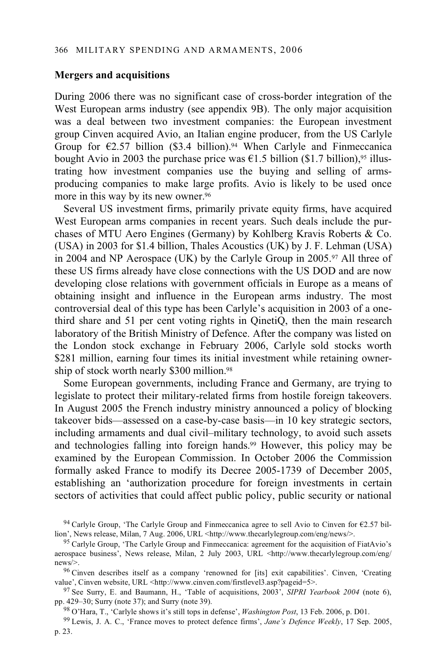#### **Mergers and acquisitions**

During 2006 there was no significant case of cross-border integration of the West European arms industry (see appendix 9B). The only major acquisition was a deal between two investment companies: the European investment group Cinven acquired Avio, an Italian engine producer, from the US Carlyle Group for  $\epsilon$ 2.57 billion (\$3.4 billion).<sup>94</sup> When Carlyle and Finmeccanica bought Avio in 2003 the purchase price was  $\epsilon$ 1.5 billion (\$1.7 billion),<sup>95</sup> illustrating how investment companies use the buying and selling of armsproducing companies to make large profits. Avio is likely to be used once more in this way by its new owner.<sup>96</sup>

Several US investment firms, primarily private equity firms, have acquired West European arms companies in recent years. Such deals include the purchases of MTU Aero Engines (Germany) by Kohlberg Kravis Roberts & Co. (USA) in 2003 for \$1.4 billion, Thales Acoustics (UK) by J. F. Lehman (USA) in 2004 and NP Aerospace (UK) by the Carlyle Group in 2005.97 All three of these US firms already have close connections with the US DOD and are now developing close relations with government officials in Europe as a means of obtaining insight and influence in the European arms industry. The most controversial deal of this type has been Carlyle's acquisition in 2003 of a onethird share and 51 per cent voting rights in QinetiQ, then the main research laboratory of the British Ministry of Defence. After the company was listed on the London stock exchange in February 2006, Carlyle sold stocks worth \$281 million, earning four times its initial investment while retaining ownership of stock worth nearly \$300 million.98

Some European governments, including France and Germany, are trying to legislate to protect their military-related firms from hostile foreign takeovers. In August 2005 the French industry ministry announced a policy of blocking takeover bids—assessed on a case-by-case basis—in 10 key strategic sectors, including armaments and dual civil–military technology, to avoid such assets and technologies falling into foreign hands.99 However, this policy may be examined by the European Commission. In October 2006 the Commission formally asked France to modify its Decree 2005-1739 of December 2005, establishing an 'authorization procedure for foreign investments in certain sectors of activities that could affect public policy, public security or national

<sup>&</sup>lt;sup>94</sup> Carlyle Group, 'The Carlyle Group and Finmeccanica agree to sell Avio to Cinven for  $\epsilon$ 2.57 billion', News release, Milan, 7 Aug. 2006, URL <http://www.thecarlylegroup.com/eng/news/>.

<sup>&</sup>lt;sup>95</sup> Carlyle Group, 'The Carlyle Group and Finmeccanica: agreement for the acquisition of FiatAvio's aerospace business', News release, Milan, 2 July 2003, URL <http://www.thecarlylegroup.com/eng/

news/>.<br><sup>96</sup> Cinven describes itself as a company 'renowned for [its] exit capabilities'. Cinven, 'Creating value', Cinven website, URL <http://www.cinven.com/firstlevel3.asp?pageid=5>.

<sup>&</sup>lt;sup>97</sup> See Surry, E. and Baumann, H., 'Table of acquisitions, 2003', *SIPRI Yearbook 2004* (note 6), pp. 429–30; Surry (note 37); and Surry (note 39).

<sup>&</sup>lt;sup>98</sup> O'Hara, T., 'Carlyle shows it's still tops in defense', *Washington Post*, 13 Feb. 2006, p. D01.<br><sup>99</sup> Lewis, J. A. C., 'France moves to protect defence firms', Jane's Defence Weekly, 17 Sep. 2005,

p. 23.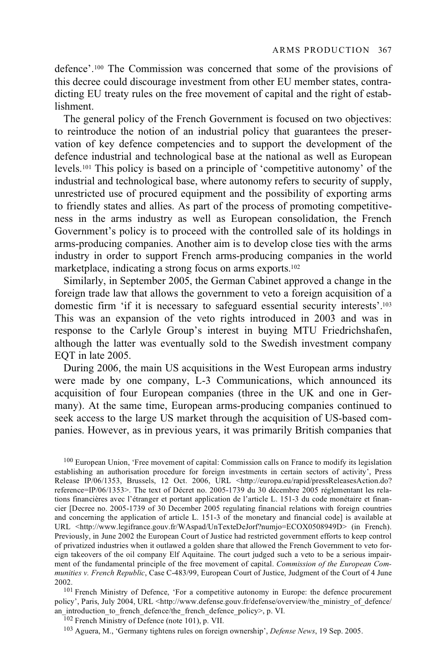defence'.100 The Commission was concerned that some of the provisions of this decree could discourage investment from other EU member states, contradicting EU treaty rules on the free movement of capital and the right of establishment.

The general policy of the French Government is focused on two objectives: to reintroduce the notion of an industrial policy that guarantees the preservation of key defence competencies and to support the development of the defence industrial and technological base at the national as well as European levels.101 This policy is based on a principle of 'competitive autonomy' of the industrial and technological base, where autonomy refers to security of supply, unrestricted use of procured equipment and the possibility of exporting arms to friendly states and allies. As part of the process of promoting competitiveness in the arms industry as well as European consolidation, the French Government's policy is to proceed with the controlled sale of its holdings in arms-producing companies. Another aim is to develop close ties with the arms industry in order to support French arms-producing companies in the world marketplace, indicating a strong focus on arms exports.<sup>102</sup>

Similarly, in September 2005, the German Cabinet approved a change in the foreign trade law that allows the government to veto a foreign acquisition of a domestic firm 'if it is necessary to safeguard essential security interests'.103 This was an expansion of the veto rights introduced in 2003 and was in response to the Carlyle Group's interest in buying MTU Friedrichshafen, although the latter was eventually sold to the Swedish investment company EQT in late 2005.

During 2006, the main US acquisitions in the West European arms industry were made by one company, L-3 Communications, which announced its acquisition of four European companies (three in the UK and one in Germany). At the same time, European arms-producing companies continued to seek access to the large US market through the acquisition of US-based companies. However, as in previous years, it was primarily British companies that

100 European Union, 'Free movement of capital: Commission calls on France to modify its legislation establishing an authorisation procedure for foreign investments in certain sectors of activity', Press Release IP/06/1353, Brussels, 12 Oct. 2006, URL <http://europa.eu/rapid/pressReleasesAction.do? reference=IP/06/1353>. The text of Décret no. 2005-1739 du 30 décembre 2005 réglementant les relations financières avec l'étranger et portant application de l'article L. 151-3 du code monétaire et financier [Decree no. 2005-1739 of 30 December 2005 regulating financial relations with foreign countries and concerning the application of article L. 151-3 of the monetary and financial code] is available at URL <http://www.legifrance.gouv.fr/WAspad/UnTexteDeJorf?numjo=ECOX0508949D> (in French). Previously, in June 2002 the European Court of Justice had restricted government efforts to keep control of privatized industries when it outlawed a golden share that allowed the French Government to veto foreign takeovers of the oil company Elf Aquitaine. The court judged such a veto to be a serious impairment of the fundamental principle of the free movement of capital. *Commission of the European Communities v. French Republic*, Case C-483/99, European Court of Justice, Judgment of the Court of 4 June 2002. 101 French Ministry of Defence, 'For a competitive autonomy in Europe: the defence procurement

policy', Paris, July 2004, URL <http://www.defense.gouv.fr/defense/overview/the\_ministry\_of\_defence/<br>an\_introduction\_to\_french\_defence/the\_french\_defence\_policy>, p. VI.

<sup>102</sup> French Ministry of Defence (note 101), p. VII. 103 French Ministry of Defence News, 19 Sep. 2005.<br><sup>103</sup> Aguera, M., 'Germany tightens rules on foreign ownership', *Defense News*, 19 Sep. 2005.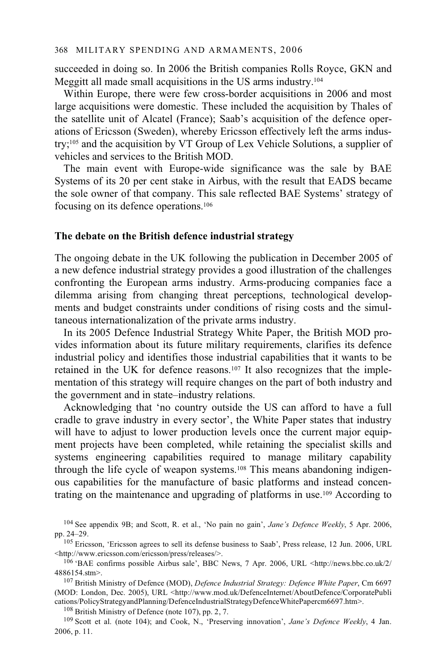succeeded in doing so. In 2006 the British companies Rolls Royce, GKN and Meggitt all made small acquisitions in the US arms industry.104

Within Europe, there were few cross-border acquisitions in 2006 and most large acquisitions were domestic. These included the acquisition by Thales of the satellite unit of Alcatel (France); Saab's acquisition of the defence operations of Ericsson (Sweden), whereby Ericsson effectively left the arms industry;105 and the acquisition by VT Group of Lex Vehicle Solutions, a supplier of vehicles and services to the British MOD.

The main event with Europe-wide significance was the sale by BAE Systems of its 20 per cent stake in Airbus, with the result that EADS became the sole owner of that company. This sale reflected BAE Systems' strategy of focusing on its defence operations.106

#### **The debate on the British defence industrial strategy**

The ongoing debate in the UK following the publication in December 2005 of a new defence industrial strategy provides a good illustration of the challenges confronting the European arms industry. Arms-producing companies face a dilemma arising from changing threat perceptions, technological developments and budget constraints under conditions of rising costs and the simultaneous internationalization of the private arms industry.

In its 2005 Defence Industrial Strategy White Paper, the British MOD provides information about its future military requirements, clarifies its defence industrial policy and identifies those industrial capabilities that it wants to be retained in the UK for defence reasons.107 It also recognizes that the implementation of this strategy will require changes on the part of both industry and the government and in state–industry relations.

Acknowledging that 'no country outside the US can afford to have a full cradle to grave industry in every sector', the White Paper states that industry will have to adjust to lower production levels once the current major equipment projects have been completed, while retaining the specialist skills and systems engineering capabilities required to manage military capability through the life cycle of weapon systems.108 This means abandoning indigenous capabilities for the manufacture of basic platforms and instead concentrating on the maintenance and upgrading of platforms in use.109 According to

cations/PolicyStrategyandPlanning/DefenceIndustrialStrategyDefenceWhitePapercm6697.htm>.<br><sup>108</sup> British Ministry of Defence (note 107), pp. 2, 7.<br><sup>109</sup> Scott et al. (note 104); and Cook, N., 'Preserving innovation', *Jane's* 2006, p. 11.

<sup>104</sup> See appendix 9B; and Scott, R. et al., 'No pain no gain', *Jane's Defence Weekly*, 5 Apr. 2006,

<sup>&</sup>lt;sup>105</sup> Ericsson, 'Ericsson agrees to sell its defense business to Saab', Press release, 12 Jun. 2006, URL <http://www.ericsson.com/ericsson/press/releases/>.

 $106$  'BAE confirms possible Airbus sale', BBC News, 7 Apr. 2006, URL <http://news.bbc.co.uk/2/ 4886154.stm>. 107 British Ministry of Defence (MOD), *Defence Industrial Strategy: Defence White Paper*, Cm 6697

<sup>(</sup>MOD: London, Dec. 2005), URL <http://www.mod.uk/DefenceInternet/AboutDefence/CorporatePubli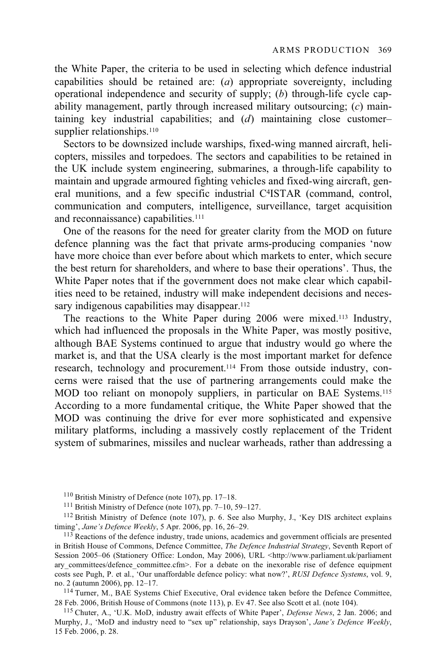the White Paper, the criteria to be used in selecting which defence industrial capabilities should be retained are: (*a*) appropriate sovereignty, including operational independence and security of supply; (*b*) through-life cycle capability management, partly through increased military outsourcing; (*c*) maintaining key industrial capabilities; and (*d*) maintaining close customer– supplier relationships.<sup>110</sup>

Sectors to be downsized include warships, fixed-wing manned aircraft, helicopters, missiles and torpedoes. The sectors and capabilities to be retained in the UK include system engineering, submarines, a through-life capability to maintain and upgrade armoured fighting vehicles and fixed-wing aircraft, general munitions, and a few specific industrial C4ISTAR (command, control, communication and computers, intelligence, surveillance, target acquisition and reconnaissance) capabilities.<sup>111</sup>

One of the reasons for the need for greater clarity from the MOD on future defence planning was the fact that private arms-producing companies 'now have more choice than ever before about which markets to enter, which secure the best return for shareholders, and where to base their operations'. Thus, the White Paper notes that if the government does not make clear which capabilities need to be retained, industry will make independent decisions and necessary indigenous capabilities may disappear.<sup>112</sup>

The reactions to the White Paper during 2006 were mixed.113 Industry, which had influenced the proposals in the White Paper, was mostly positive, although BAE Systems continued to argue that industry would go where the market is, and that the USA clearly is the most important market for defence research, technology and procurement.114 From those outside industry, concerns were raised that the use of partnering arrangements could make the MOD too reliant on monopoly suppliers, in particular on BAE Systems.115 According to a more fundamental critique, the White Paper showed that the MOD was continuing the drive for ever more sophisticated and expensive military platforms, including a massively costly replacement of the Trident system of submarines, missiles and nuclear warheads, rather than addressing a

<sup>113</sup> Reactions of the defence industry, trade unions, academics and government officials are presented in British House of Commons, Defence Committee, *The Defence Industrial Strategy*, Seventh Report of Session 2005–06 (Stationery Office: London, May 2006), URL <http://www.parliament.uk/parliament ary committees/defence committee.cfm>. For a debate on the inexorable rise of defence equipment costs see Pugh, P. et al., 'Our unaffordable defence policy: what now?', *RUSI Defence Systems*, vol. 9,

<sup>114</sup> Turner, M., BAE Systems Chief Executive, Oral evidence taken before the Defence Committee, 28 Feb. 2006, British House of Commons (note 113), p. Ev 47. See also Scott et al. (note 104).

<sup>115</sup> Chuter, A., 'U.K. MoD, industry await effects of White Paper', *Defense News*, 2 Jan. 2006; and Murphy, J., 'MoD and industry need to "sex up" relationship, says Drayson', *Jane's Defence Weekly*, 15 Feb. 2006, p. 28.

<sup>&</sup>lt;sup>110</sup> British Ministry of Defence (note 107), pp. 17–18.<br><sup>111</sup> British Ministry of Defence (note 107), pp. 7–10, 59–127.<br><sup>112</sup> British Ministry of Defence (note 107), p. 6. See also Murphy, J., 'Key DIS architect explains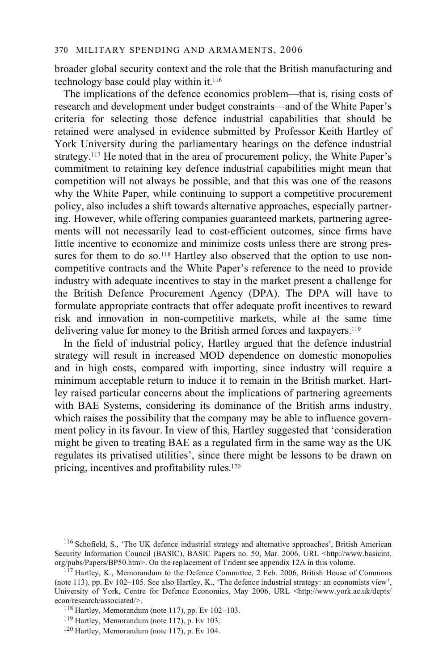broader global security context and the role that the British manufacturing and technology base could play within it.116

The implications of the defence economics problem—that is, rising costs of research and development under budget constraints—and of the White Paper's criteria for selecting those defence industrial capabilities that should be retained were analysed in evidence submitted by Professor Keith Hartley of York University during the parliamentary hearings on the defence industrial strategy.117 He noted that in the area of procurement policy, the White Paper's commitment to retaining key defence industrial capabilities might mean that competition will not always be possible, and that this was one of the reasons why the White Paper, while continuing to support a competitive procurement policy, also includes a shift towards alternative approaches, especially partnering. However, while offering companies guaranteed markets, partnering agreements will not necessarily lead to cost-efficient outcomes, since firms have little incentive to economize and minimize costs unless there are strong pressures for them to do so.<sup>118</sup> Hartley also observed that the option to use noncompetitive contracts and the White Paper's reference to the need to provide industry with adequate incentives to stay in the market present a challenge for the British Defence Procurement Agency (DPA). The DPA will have to formulate appropriate contracts that offer adequate profit incentives to reward risk and innovation in non-competitive markets, while at the same time delivering value for money to the British armed forces and taxpayers.119

In the field of industrial policy, Hartley argued that the defence industrial strategy will result in increased MOD dependence on domestic monopolies and in high costs, compared with importing, since industry will require a minimum acceptable return to induce it to remain in the British market. Hartley raised particular concerns about the implications of partnering agreements with BAE Systems, considering its dominance of the British arms industry, which raises the possibility that the company may be able to influence government policy in its favour. In view of this, Hartley suggested that 'consideration might be given to treating BAE as a regulated firm in the same way as the UK regulates its privatised utilities', since there might be lessons to be drawn on pricing, incentives and profitability rules.120

<sup>116</sup> Schofield, S., 'The UK defence industrial strategy and alternative approaches', British American Security Information Council (BASIC), BASIC Papers no. 50, Mar. 2006, URL <http://www.basicint. org/pubs/Papers/BP50.htm>. On the replacement of Trident see appendix 12A in this volume.

 $117$  Hartley, K., Memorandum to the Defence Committee, 2 Feb. 2006, British House of Commons (note 113), pp. Ev 102–105. See also Hartley, K., 'The defence industrial strategy: an economists view', University of York, Centre for Defence Economics, May 2006, URL <http://www.york.ac.uk/depts/econ/research/associated/>.

<sup>&</sup>lt;sup>118</sup> Hartley, Memorandum (note 117), pp. Ev 102–103.<br><sup>119</sup> Hartley, Memorandum (note 117), p. Ev 103.<br><sup>120</sup> Hartley, Memorandum (note 117), p. Ev 104.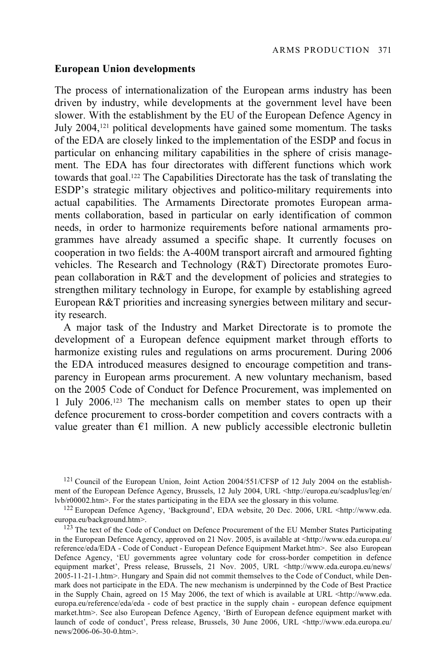#### **European Union developments**

The process of internationalization of the European arms industry has been driven by industry, while developments at the government level have been slower. With the establishment by the EU of the European Defence Agency in July 2004,121 political developments have gained some momentum. The tasks of the EDA are closely linked to the implementation of the ESDP and focus in particular on enhancing military capabilities in the sphere of crisis management. The EDA has four directorates with different functions which work towards that goal.122 The Capabilities Directorate has the task of translating the ESDP's strategic military objectives and politico-military requirements into actual capabilities. The Armaments Directorate promotes European armaments collaboration, based in particular on early identification of common needs, in order to harmonize requirements before national armaments programmes have already assumed a specific shape. It currently focuses on cooperation in two fields: the A-400M transport aircraft and armoured fighting vehicles. The Research and Technology (R&T) Directorate promotes European collaboration in R&T and the development of policies and strategies to strengthen military technology in Europe, for example by establishing agreed European R&T priorities and increasing synergies between military and security research.

A major task of the Industry and Market Directorate is to promote the development of a European defence equipment market through efforts to harmonize existing rules and regulations on arms procurement. During 2006 the EDA introduced measures designed to encourage competition and transparency in European arms procurement. A new voluntary mechanism, based on the 2005 Code of Conduct for Defence Procurement, was implemented on 1 July 2006.123 The mechanism calls on member states to open up their defence procurement to cross-border competition and covers contracts with a value greater than  $\epsilon$ 1 million. A new publicly accessible electronic bulletin

<sup>&</sup>lt;sup>121</sup> Council of the European Union, Joint Action 2004/551/CFSP of 12 July 2004 on the establishment of the European Defence Agency, Brussels, 12 July 2004, URL <http://europa.eu/scadplus/leg/en/<br>lyb/r00002.htm>. For the states participating in the EDA see the glossary in this volume.

<sup>&</sup>lt;sup>122</sup> European Defence Agency, 'Background', EDA website, 20 Dec. 2006, URL <http://www.eda. europa.eu/background.htm>.

 $^{123}$  The text of the Code of Conduct on Defence Procurement of the EU Member States Participating in the European Defence Agency, approved on 21 Nov. 2005, is available at <http://www.eda.europa.eu/ reference/eda/EDA - Code of Conduct - European Defence Equipment Market.htm>. See also European Defence Agency, 'EU governments agree voluntary code for cross-border competition in defence equipment market', Press release, Brussels, 21 Nov. 2005, URL <http://www.eda.europa.eu/news/ 2005-11-21-1.htm>. Hungary and Spain did not commit themselves to the Code of Conduct, while Denmark does not participate in the EDA. The new mechanism is underpinned by the Code of Best Practice in the Supply Chain, agreed on 15 May 2006, the text of which is available at URL <http://www.eda. europa.eu/reference/eda/eda - code of best practice in the supply chain - european defence equipment market.htm>. See also European Defence Agency, 'Birth of European defence equipment market with launch of code of conduct', Press release, Brussels, 30 June 2006, URL <http://www.eda.europa.eu/ news/2006-06-30-0.htm>.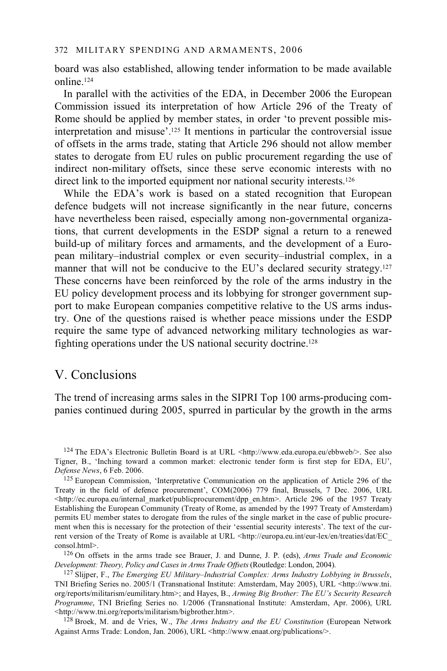board was also established, allowing tender information to be made available online.124

In parallel with the activities of the EDA, in December 2006 the European Commission issued its interpretation of how Article 296 of the Treaty of Rome should be applied by member states, in order 'to prevent possible misinterpretation and misuse'.125 It mentions in particular the controversial issue of offsets in the arms trade, stating that Article 296 should not allow member states to derogate from EU rules on public procurement regarding the use of indirect non-military offsets, since these serve economic interests with no direct link to the imported equipment nor national security interests.<sup>126</sup>

While the EDA's work is based on a stated recognition that European defence budgets will not increase significantly in the near future, concerns have nevertheless been raised, especially among non-governmental organizations, that current developments in the ESDP signal a return to a renewed build-up of military forces and armaments, and the development of a European military–industrial complex or even security–industrial complex, in a manner that will not be conducive to the EU's declared security strategy.<sup>127</sup> These concerns have been reinforced by the role of the arms industry in the EU policy development process and its lobbying for stronger government support to make European companies competitive relative to the US arms industry. One of the questions raised is whether peace missions under the ESDP require the same type of advanced networking military technologies as warfighting operations under the US national security doctrine.128

# V. Conclusions

The trend of increasing arms sales in the SIPRI Top 100 arms-producing companies continued during 2005, spurred in particular by the growth in the arms

consol.html>.<br><sup>126</sup> On offsets in the arms trade see Brauer, J. and Dunne, J. P. (eds), *Arms Trade and Economic Development: Theory, Policy and Cases in Arms Trade Offsets* (Routledge: London, 2004).

<sup>127</sup> Slijper, F., *The Emerging EU Military–Industrial Complex: Arms Industry Lobbying in Brussels*, TNI Briefing Series no. 2005/1 (Transnational Institute: Amsterdam, May 2005), URL <http://www.tni. org/reports/militarism/eumilitary.htm>; and Hayes, B., *Arming Big Brother: The EU's Security Research Programme*, TNI Briefing Series no. 1/2006 (Transnational Institute: Amsterdam, Apr. 2006), URL <http://www.tni.org/reports/militarism/bigbrother.htm>.

<sup>128</sup> Broek, M. and de Vries, W., *The Arms Industry and the EU Constitution* (European Network Against Arms Trade: London, Jan. 2006), URL <http://www.enaat.org/publications/>.

<sup>&</sup>lt;sup>124</sup> The EDA's Electronic Bulletin Board is at URL <http://www.eda.europa.eu/ebbweb/>. See also Tigner, B., 'Inching toward a common market: electronic tender form is first step for EDA, EU', Defense News, 6 Feb. 2006.

<sup>&</sup>lt;sup>125</sup> European Commission, 'Interpretative Communication on the application of Article 296 of the Treaty in the field of defence procurement', COM(2006) 779 final, Brussels, 7 Dec. 2006, URL <http://ec.europa.eu/internal\_market/publicprocurement/dpp\_en.htm>. Article 296 of the 1957 Treaty Establishing the European Community (Treaty of Rome, as amended by the 1997 Treaty of Amsterdam) permits EU member states to derogate from the rules of the single market in the case of public procurement when this is necessary for the protection of their 'essential security interests'. The text of the current version of the Treaty of Rome is available at URL <http://europa.eu.int/eur-lex/en/treaties/dat/EC